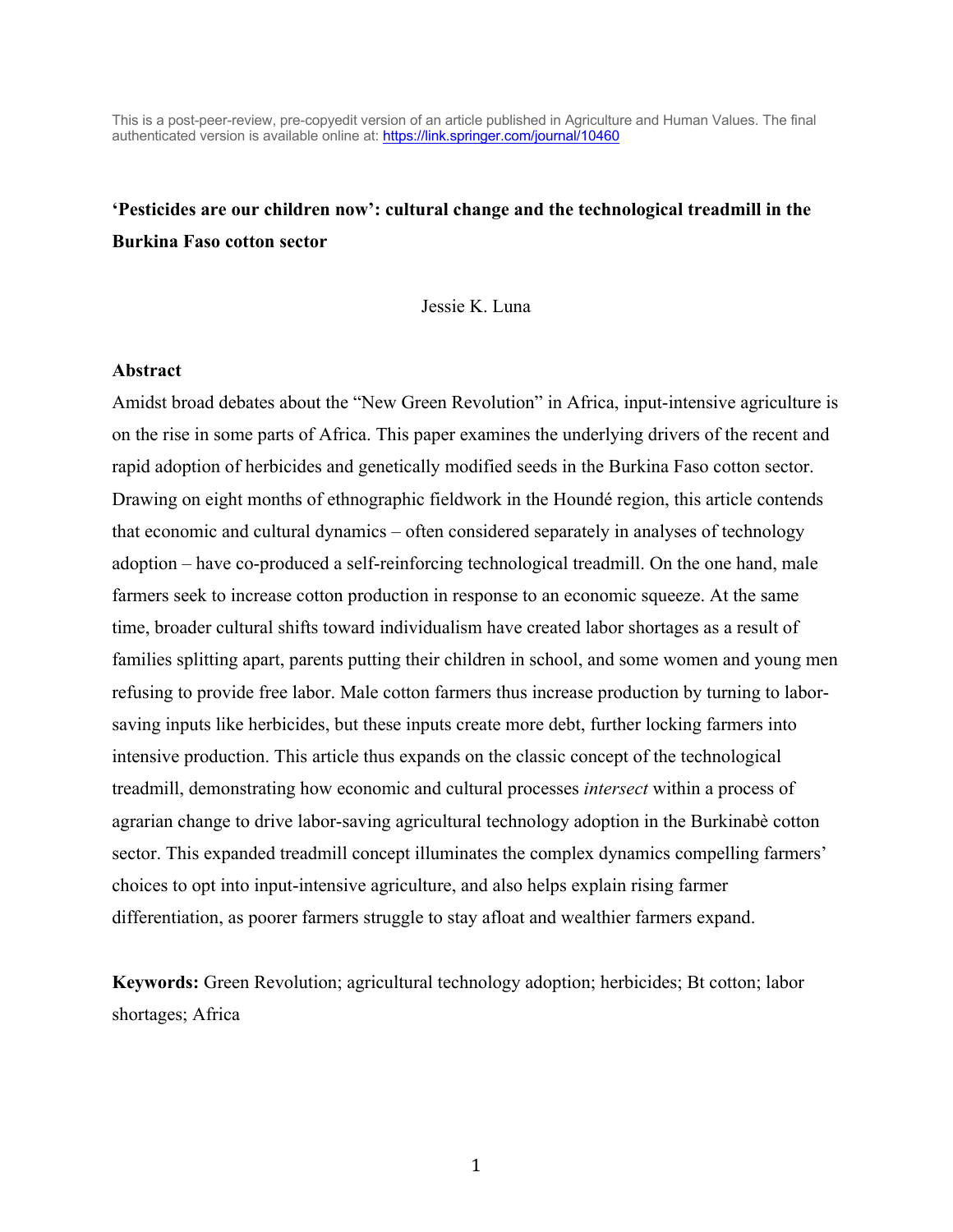This is a post-peer-review, pre-copyedit version of an article published in Agriculture and Human Values. The final authenticated version is available online at: https://link.springer.com/journal/10460

# **'Pesticides are our children now': cultural change and the technological treadmill in the Burkina Faso cotton sector**

Jessie K. Luna

#### **Abstract**

Amidst broad debates about the "New Green Revolution" in Africa, input-intensive agriculture is on the rise in some parts of Africa. This paper examines the underlying drivers of the recent and rapid adoption of herbicides and genetically modified seeds in the Burkina Faso cotton sector. Drawing on eight months of ethnographic fieldwork in the Houndé region, this article contends that economic and cultural dynamics – often considered separately in analyses of technology adoption – have co-produced a self-reinforcing technological treadmill. On the one hand, male farmers seek to increase cotton production in response to an economic squeeze. At the same time, broader cultural shifts toward individualism have created labor shortages as a result of families splitting apart, parents putting their children in school, and some women and young men refusing to provide free labor. Male cotton farmers thus increase production by turning to laborsaving inputs like herbicides, but these inputs create more debt, further locking farmers into intensive production. This article thus expands on the classic concept of the technological treadmill, demonstrating how economic and cultural processes *intersect* within a process of agrarian change to drive labor-saving agricultural technology adoption in the Burkinabè cotton sector. This expanded treadmill concept illuminates the complex dynamics compelling farmers' choices to opt into input-intensive agriculture, and also helps explain rising farmer differentiation, as poorer farmers struggle to stay afloat and wealthier farmers expand.

**Keywords:** Green Revolution; agricultural technology adoption; herbicides; Bt cotton; labor shortages; Africa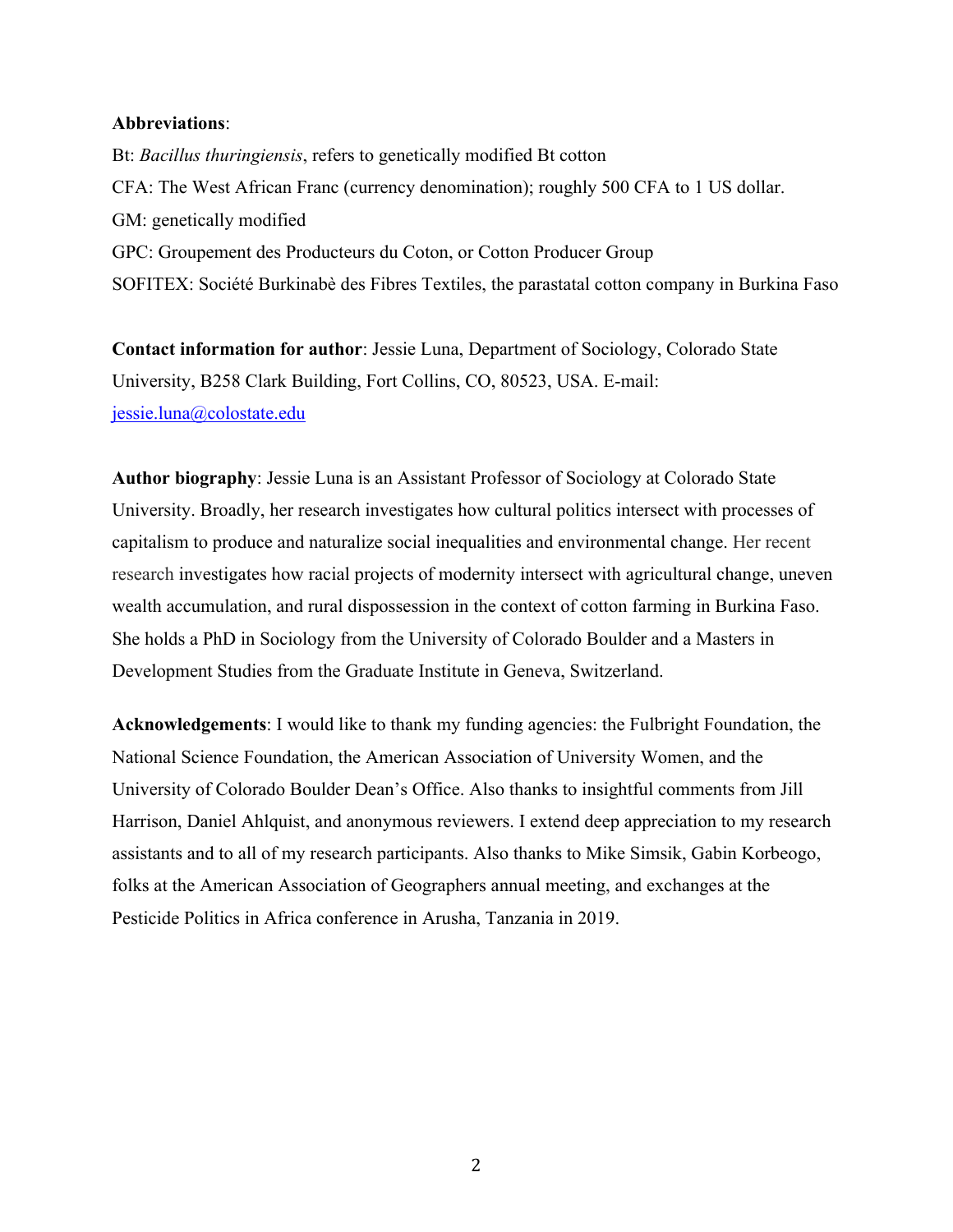#### **Abbreviations**:

Bt: *Bacillus thuringiensis*, refers to genetically modified Bt cotton CFA: The West African Franc (currency denomination); roughly 500 CFA to 1 US dollar. GM: genetically modified GPC: Groupement des Producteurs du Coton, or Cotton Producer Group SOFITEX: Société Burkinabè des Fibres Textiles, the parastatal cotton company in Burkina Faso

**Contact information for author**: Jessie Luna, Department of Sociology, Colorado State University, B258 Clark Building, Fort Collins, CO, 80523, USA. E-mail: jessie.luna@colostate.edu

**Author biography**: Jessie Luna is an Assistant Professor of Sociology at Colorado State University. Broadly, her research investigates how cultural politics intersect with processes of capitalism to produce and naturalize social inequalities and environmental change. Her recent research investigates how racial projects of modernity intersect with agricultural change, uneven wealth accumulation, and rural dispossession in the context of cotton farming in Burkina Faso. She holds a PhD in Sociology from the University of Colorado Boulder and a Masters in Development Studies from the Graduate Institute in Geneva, Switzerland.

**Acknowledgements**: I would like to thank my funding agencies: the Fulbright Foundation, the National Science Foundation, the American Association of University Women, and the University of Colorado Boulder Dean's Office. Also thanks to insightful comments from Jill Harrison, Daniel Ahlquist, and anonymous reviewers. I extend deep appreciation to my research assistants and to all of my research participants. Also thanks to Mike Simsik, Gabin Korbeogo, folks at the American Association of Geographers annual meeting, and exchanges at the Pesticide Politics in Africa conference in Arusha, Tanzania in 2019.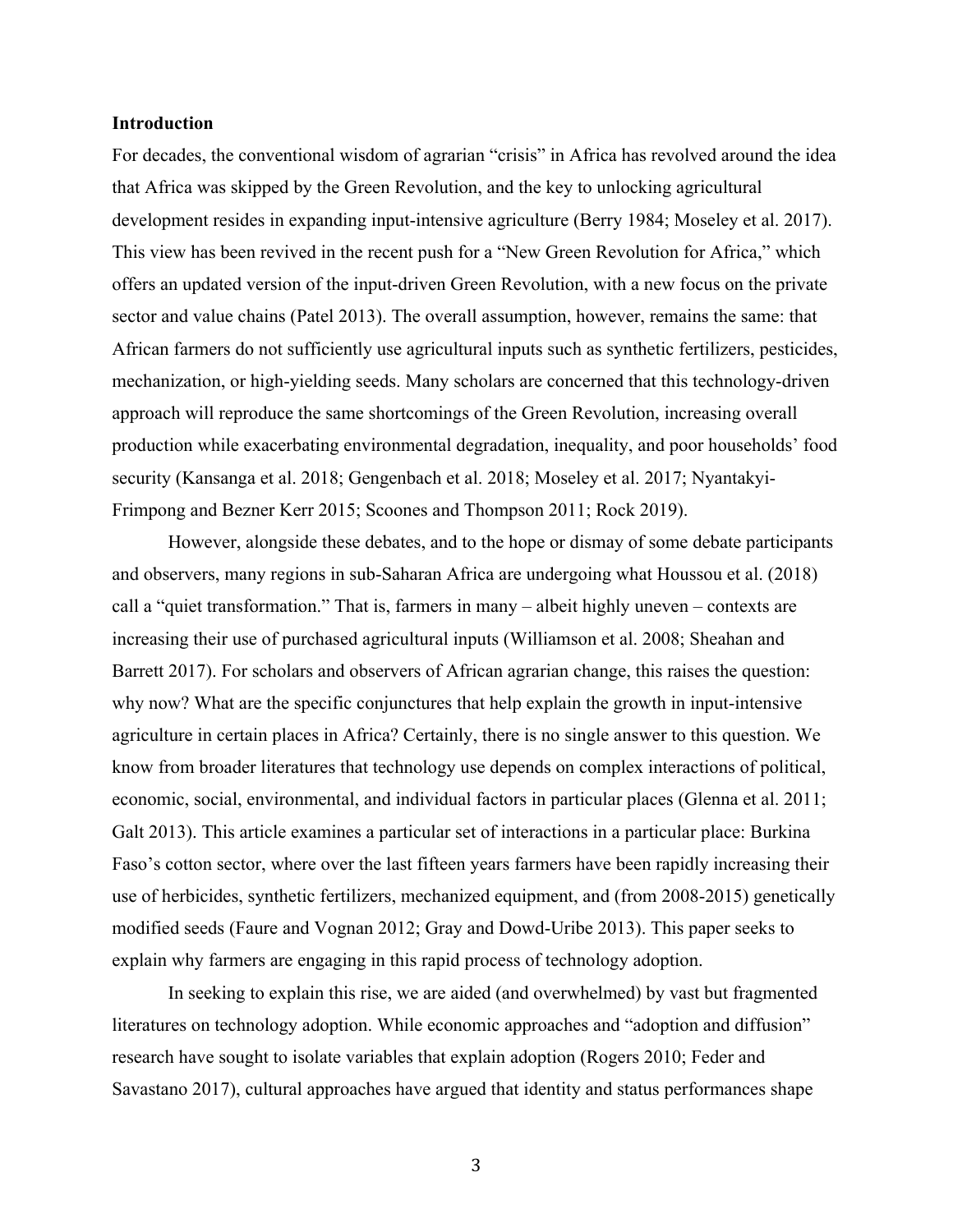#### **Introduction**

For decades, the conventional wisdom of agrarian "crisis" in Africa has revolved around the idea that Africa was skipped by the Green Revolution, and the key to unlocking agricultural development resides in expanding input-intensive agriculture (Berry 1984; Moseley et al. 2017). This view has been revived in the recent push for a "New Green Revolution for Africa," which offers an updated version of the input-driven Green Revolution, with a new focus on the private sector and value chains (Patel 2013). The overall assumption, however, remains the same: that African farmers do not sufficiently use agricultural inputs such as synthetic fertilizers, pesticides, mechanization, or high-yielding seeds. Many scholars are concerned that this technology-driven approach will reproduce the same shortcomings of the Green Revolution, increasing overall production while exacerbating environmental degradation, inequality, and poor households' food security (Kansanga et al. 2018; Gengenbach et al. 2018; Moseley et al. 2017; Nyantakyi-Frimpong and Bezner Kerr 2015; Scoones and Thompson 2011; Rock 2019).

However, alongside these debates, and to the hope or dismay of some debate participants and observers, many regions in sub-Saharan Africa are undergoing what Houssou et al. (2018) call a "quiet transformation." That is, farmers in many – albeit highly uneven – contexts are increasing their use of purchased agricultural inputs (Williamson et al. 2008; Sheahan and Barrett 2017). For scholars and observers of African agrarian change, this raises the question: why now? What are the specific conjunctures that help explain the growth in input-intensive agriculture in certain places in Africa? Certainly, there is no single answer to this question. We know from broader literatures that technology use depends on complex interactions of political, economic, social, environmental, and individual factors in particular places (Glenna et al. 2011; Galt 2013). This article examines a particular set of interactions in a particular place: Burkina Faso's cotton sector, where over the last fifteen years farmers have been rapidly increasing their use of herbicides, synthetic fertilizers, mechanized equipment, and (from 2008-2015) genetically modified seeds (Faure and Vognan 2012; Gray and Dowd-Uribe 2013). This paper seeks to explain why farmers are engaging in this rapid process of technology adoption.

In seeking to explain this rise, we are aided (and overwhelmed) by vast but fragmented literatures on technology adoption. While economic approaches and "adoption and diffusion" research have sought to isolate variables that explain adoption (Rogers 2010; Feder and Savastano 2017), cultural approaches have argued that identity and status performances shape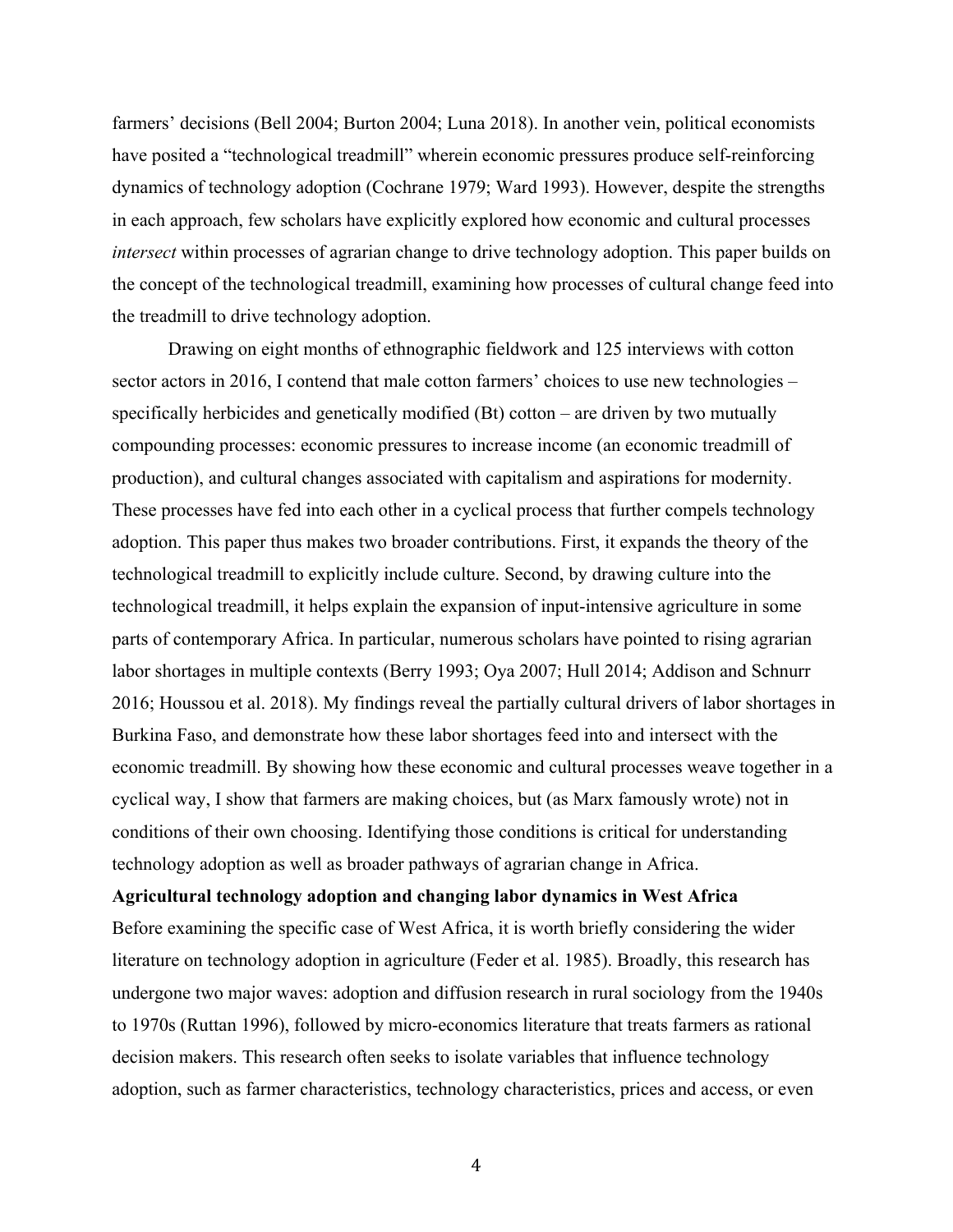farmers' decisions (Bell 2004; Burton 2004; Luna 2018). In another vein, political economists have posited a "technological treadmill" wherein economic pressures produce self-reinforcing dynamics of technology adoption (Cochrane 1979; Ward 1993). However, despite the strengths in each approach, few scholars have explicitly explored how economic and cultural processes *intersect* within processes of agrarian change to drive technology adoption. This paper builds on the concept of the technological treadmill, examining how processes of cultural change feed into the treadmill to drive technology adoption.

Drawing on eight months of ethnographic fieldwork and 125 interviews with cotton sector actors in 2016, I contend that male cotton farmers' choices to use new technologies – specifically herbicides and genetically modified (Bt) cotton – are driven by two mutually compounding processes: economic pressures to increase income (an economic treadmill of production), and cultural changes associated with capitalism and aspirations for modernity. These processes have fed into each other in a cyclical process that further compels technology adoption. This paper thus makes two broader contributions. First, it expands the theory of the technological treadmill to explicitly include culture. Second, by drawing culture into the technological treadmill, it helps explain the expansion of input-intensive agriculture in some parts of contemporary Africa. In particular, numerous scholars have pointed to rising agrarian labor shortages in multiple contexts (Berry 1993; Oya 2007; Hull 2014; Addison and Schnurr 2016; Houssou et al. 2018). My findings reveal the partially cultural drivers of labor shortages in Burkina Faso, and demonstrate how these labor shortages feed into and intersect with the economic treadmill. By showing how these economic and cultural processes weave together in a cyclical way, I show that farmers are making choices, but (as Marx famously wrote) not in conditions of their own choosing. Identifying those conditions is critical for understanding technology adoption as well as broader pathways of agrarian change in Africa.

**Agricultural technology adoption and changing labor dynamics in West Africa** Before examining the specific case of West Africa, it is worth briefly considering the wider literature on technology adoption in agriculture (Feder et al. 1985). Broadly, this research has undergone two major waves: adoption and diffusion research in rural sociology from the 1940s to 1970s (Ruttan 1996), followed by micro-economics literature that treats farmers as rational decision makers. This research often seeks to isolate variables that influence technology adoption, such as farmer characteristics, technology characteristics, prices and access, or even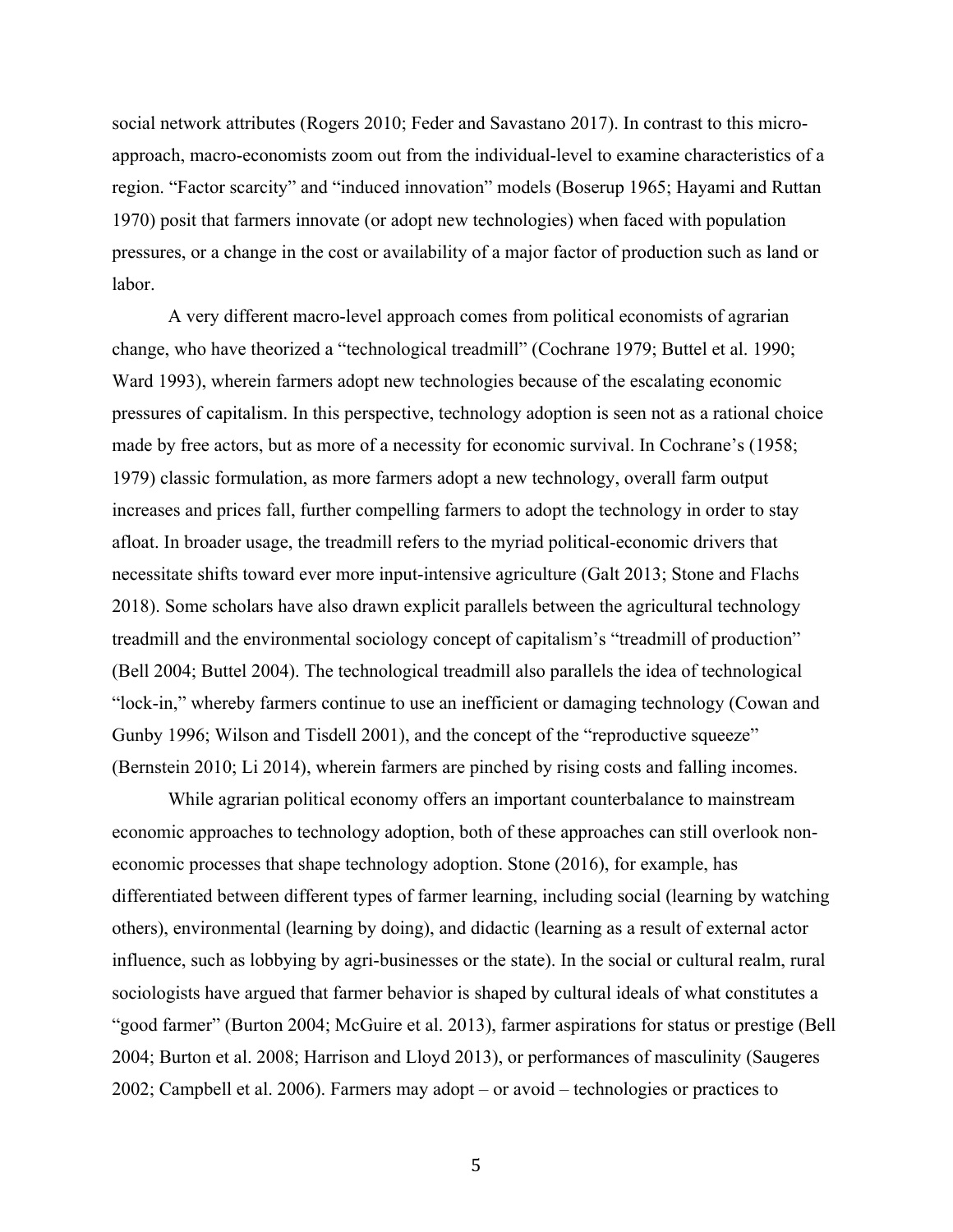social network attributes (Rogers 2010; Feder and Savastano 2017). In contrast to this microapproach, macro-economists zoom out from the individual-level to examine characteristics of a region. "Factor scarcity" and "induced innovation" models (Boserup 1965; Hayami and Ruttan 1970) posit that farmers innovate (or adopt new technologies) when faced with population pressures, or a change in the cost or availability of a major factor of production such as land or labor.

A very different macro-level approach comes from political economists of agrarian change, who have theorized a "technological treadmill" (Cochrane 1979; Buttel et al. 1990; Ward 1993), wherein farmers adopt new technologies because of the escalating economic pressures of capitalism. In this perspective, technology adoption is seen not as a rational choice made by free actors, but as more of a necessity for economic survival. In Cochrane's (1958; 1979) classic formulation, as more farmers adopt a new technology, overall farm output increases and prices fall, further compelling farmers to adopt the technology in order to stay afloat. In broader usage, the treadmill refers to the myriad political-economic drivers that necessitate shifts toward ever more input-intensive agriculture (Galt 2013; Stone and Flachs 2018). Some scholars have also drawn explicit parallels between the agricultural technology treadmill and the environmental sociology concept of capitalism's "treadmill of production" (Bell 2004; Buttel 2004). The technological treadmill also parallels the idea of technological "lock-in," whereby farmers continue to use an inefficient or damaging technology (Cowan and Gunby 1996; Wilson and Tisdell 2001), and the concept of the "reproductive squeeze" (Bernstein 2010; Li 2014), wherein farmers are pinched by rising costs and falling incomes.

While agrarian political economy offers an important counterbalance to mainstream economic approaches to technology adoption, both of these approaches can still overlook noneconomic processes that shape technology adoption. Stone (2016), for example, has differentiated between different types of farmer learning, including social (learning by watching others), environmental (learning by doing), and didactic (learning as a result of external actor influence, such as lobbying by agri-businesses or the state). In the social or cultural realm, rural sociologists have argued that farmer behavior is shaped by cultural ideals of what constitutes a "good farmer" (Burton 2004; McGuire et al. 2013), farmer aspirations for status or prestige (Bell 2004; Burton et al. 2008; Harrison and Lloyd 2013), or performances of masculinity (Saugeres 2002; Campbell et al. 2006). Farmers may adopt – or avoid – technologies or practices to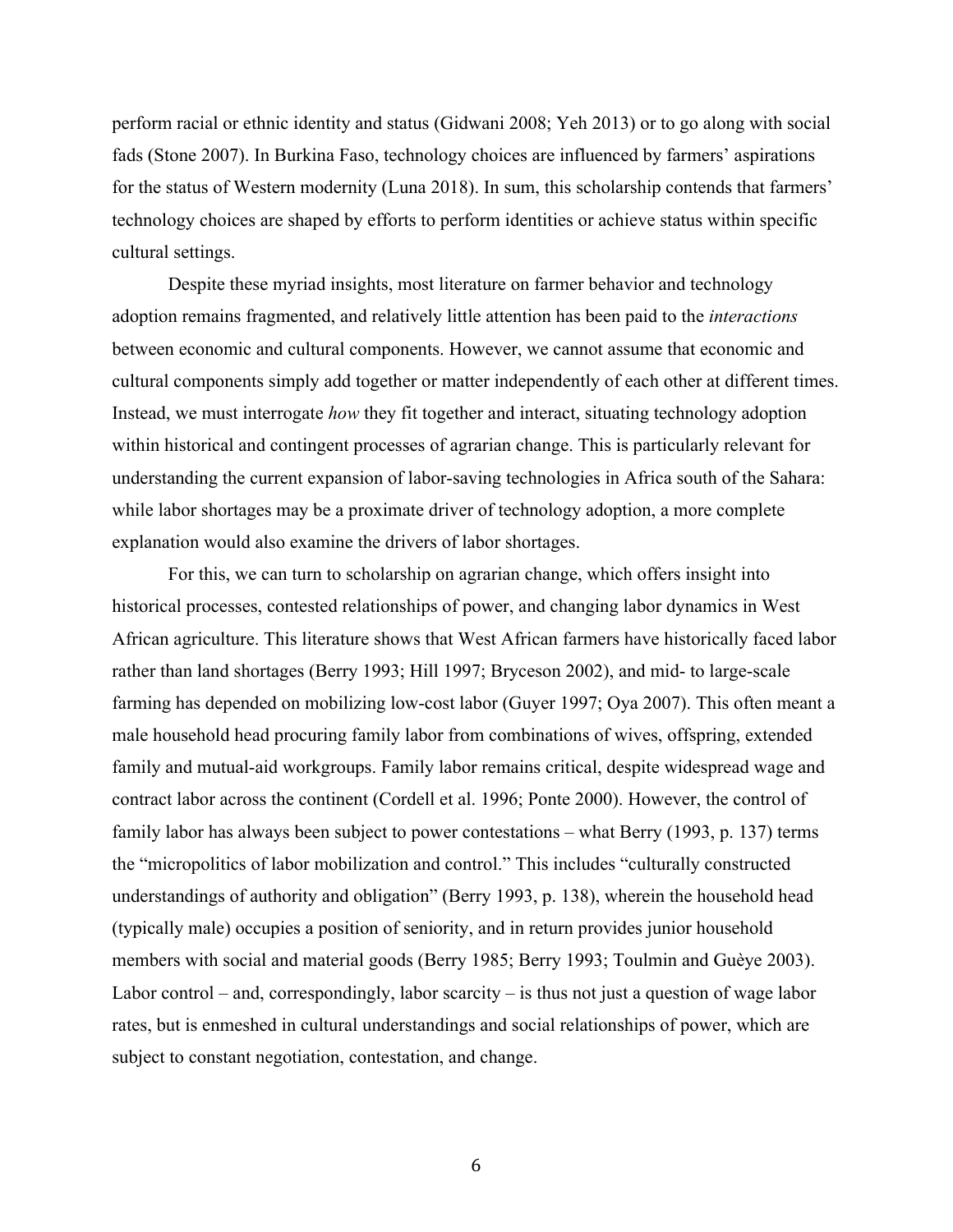perform racial or ethnic identity and status (Gidwani 2008; Yeh 2013) or to go along with social fads (Stone 2007). In Burkina Faso, technology choices are influenced by farmers' aspirations for the status of Western modernity (Luna 2018). In sum, this scholarship contends that farmers' technology choices are shaped by efforts to perform identities or achieve status within specific cultural settings.

Despite these myriad insights, most literature on farmer behavior and technology adoption remains fragmented, and relatively little attention has been paid to the *interactions* between economic and cultural components. However, we cannot assume that economic and cultural components simply add together or matter independently of each other at different times. Instead, we must interrogate *how* they fit together and interact, situating technology adoption within historical and contingent processes of agrarian change. This is particularly relevant for understanding the current expansion of labor-saving technologies in Africa south of the Sahara: while labor shortages may be a proximate driver of technology adoption, a more complete explanation would also examine the drivers of labor shortages.

For this, we can turn to scholarship on agrarian change, which offers insight into historical processes, contested relationships of power, and changing labor dynamics in West African agriculture. This literature shows that West African farmers have historically faced labor rather than land shortages (Berry 1993; Hill 1997; Bryceson 2002), and mid- to large-scale farming has depended on mobilizing low-cost labor (Guyer 1997; Oya 2007). This often meant a male household head procuring family labor from combinations of wives, offspring, extended family and mutual-aid workgroups. Family labor remains critical, despite widespread wage and contract labor across the continent (Cordell et al. 1996; Ponte 2000). However, the control of family labor has always been subject to power contestations – what Berry (1993, p. 137) terms the "micropolitics of labor mobilization and control." This includes "culturally constructed understandings of authority and obligation" (Berry 1993, p. 138), wherein the household head (typically male) occupies a position of seniority, and in return provides junior household members with social and material goods (Berry 1985; Berry 1993; Toulmin and Guèye 2003). Labor control – and, correspondingly, labor scarcity – is thus not just a question of wage labor rates, but is enmeshed in cultural understandings and social relationships of power, which are subject to constant negotiation, contestation, and change.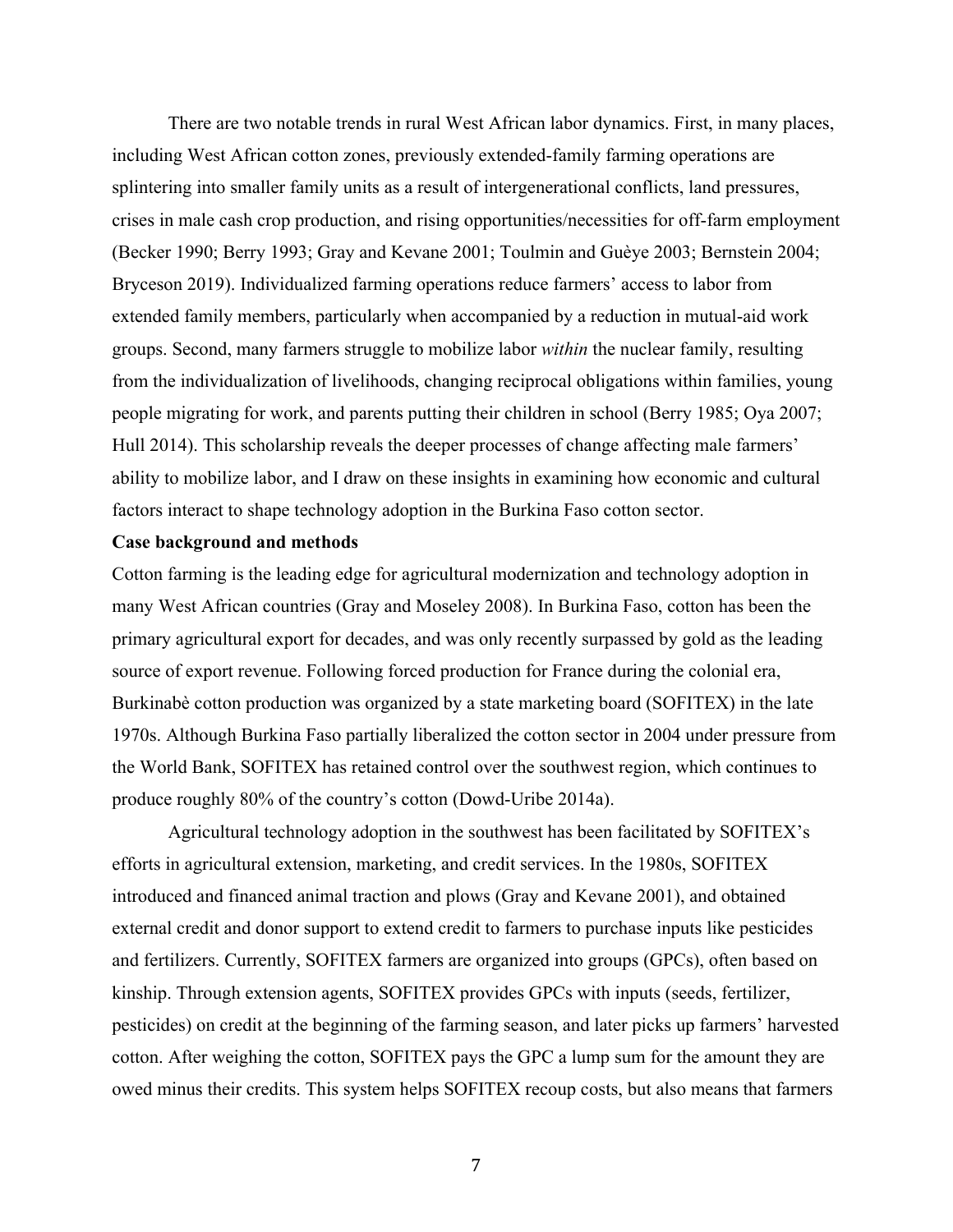There are two notable trends in rural West African labor dynamics. First, in many places, including West African cotton zones, previously extended-family farming operations are splintering into smaller family units as a result of intergenerational conflicts, land pressures, crises in male cash crop production, and rising opportunities/necessities for off-farm employment (Becker 1990; Berry 1993; Gray and Kevane 2001; Toulmin and Guèye 2003; Bernstein 2004; Bryceson 2019). Individualized farming operations reduce farmers' access to labor from extended family members, particularly when accompanied by a reduction in mutual-aid work groups. Second, many farmers struggle to mobilize labor *within* the nuclear family, resulting from the individualization of livelihoods, changing reciprocal obligations within families, young people migrating for work, and parents putting their children in school (Berry 1985; Oya 2007; Hull 2014). This scholarship reveals the deeper processes of change affecting male farmers' ability to mobilize labor, and I draw on these insights in examining how economic and cultural factors interact to shape technology adoption in the Burkina Faso cotton sector.

#### **Case background and methods**

Cotton farming is the leading edge for agricultural modernization and technology adoption in many West African countries (Gray and Moseley 2008). In Burkina Faso, cotton has been the primary agricultural export for decades, and was only recently surpassed by gold as the leading source of export revenue. Following forced production for France during the colonial era, Burkinabè cotton production was organized by a state marketing board (SOFITEX) in the late 1970s. Although Burkina Faso partially liberalized the cotton sector in 2004 under pressure from the World Bank, SOFITEX has retained control over the southwest region, which continues to produce roughly 80% of the country's cotton (Dowd-Uribe 2014a).

Agricultural technology adoption in the southwest has been facilitated by SOFITEX's efforts in agricultural extension, marketing, and credit services. In the 1980s, SOFITEX introduced and financed animal traction and plows (Gray and Kevane 2001), and obtained external credit and donor support to extend credit to farmers to purchase inputs like pesticides and fertilizers. Currently, SOFITEX farmers are organized into groups (GPCs), often based on kinship. Through extension agents, SOFITEX provides GPCs with inputs (seeds, fertilizer, pesticides) on credit at the beginning of the farming season, and later picks up farmers' harvested cotton. After weighing the cotton, SOFITEX pays the GPC a lump sum for the amount they are owed minus their credits. This system helps SOFITEX recoup costs, but also means that farmers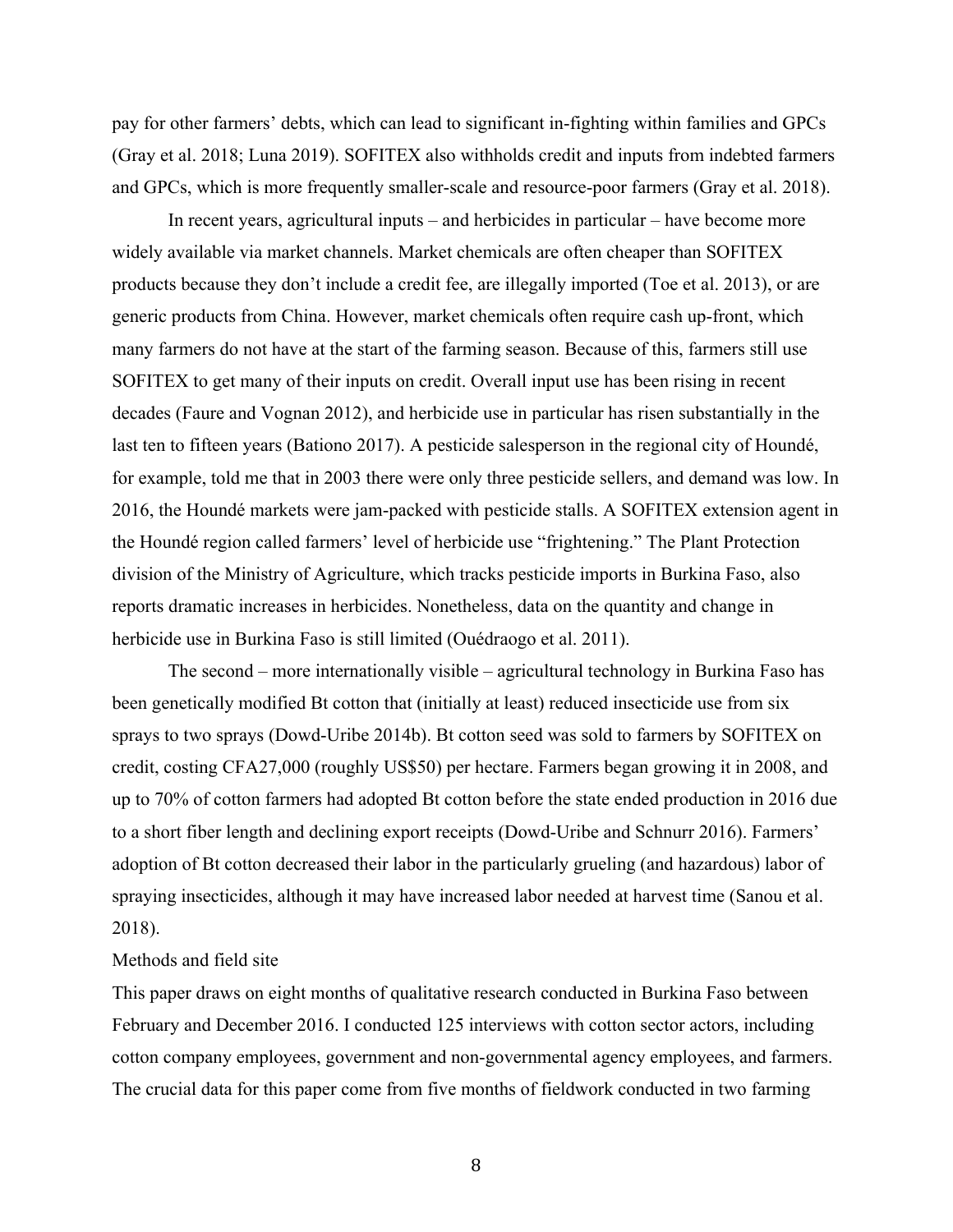pay for other farmers' debts, which can lead to significant in-fighting within families and GPCs (Gray et al. 2018; Luna 2019). SOFITEX also withholds credit and inputs from indebted farmers and GPCs, which is more frequently smaller-scale and resource-poor farmers (Gray et al. 2018).

In recent years, agricultural inputs – and herbicides in particular – have become more widely available via market channels. Market chemicals are often cheaper than SOFITEX products because they don't include a credit fee, are illegally imported (Toe et al. 2013), or are generic products from China. However, market chemicals often require cash up-front, which many farmers do not have at the start of the farming season. Because of this, farmers still use SOFITEX to get many of their inputs on credit. Overall input use has been rising in recent decades (Faure and Vognan 2012), and herbicide use in particular has risen substantially in the last ten to fifteen years (Bationo 2017). A pesticide salesperson in the regional city of Houndé, for example, told me that in 2003 there were only three pesticide sellers, and demand was low. In 2016, the Houndé markets were jam-packed with pesticide stalls. A SOFITEX extension agent in the Houndé region called farmers' level of herbicide use "frightening." The Plant Protection division of the Ministry of Agriculture, which tracks pesticide imports in Burkina Faso, also reports dramatic increases in herbicides. Nonetheless, data on the quantity and change in herbicide use in Burkina Faso is still limited (Ouédraogo et al. 2011).

The second – more internationally visible – agricultural technology in Burkina Faso has been genetically modified Bt cotton that (initially at least) reduced insecticide use from six sprays to two sprays (Dowd-Uribe 2014b). Bt cotton seed was sold to farmers by SOFITEX on credit, costing CFA27,000 (roughly US\$50) per hectare. Farmers began growing it in 2008, and up to 70% of cotton farmers had adopted Bt cotton before the state ended production in 2016 due to a short fiber length and declining export receipts (Dowd-Uribe and Schnurr 2016). Farmers' adoption of Bt cotton decreased their labor in the particularly grueling (and hazardous) labor of spraying insecticides, although it may have increased labor needed at harvest time (Sanou et al. 2018).

#### Methods and field site

This paper draws on eight months of qualitative research conducted in Burkina Faso between February and December 2016. I conducted 125 interviews with cotton sector actors, including cotton company employees, government and non-governmental agency employees, and farmers. The crucial data for this paper come from five months of fieldwork conducted in two farming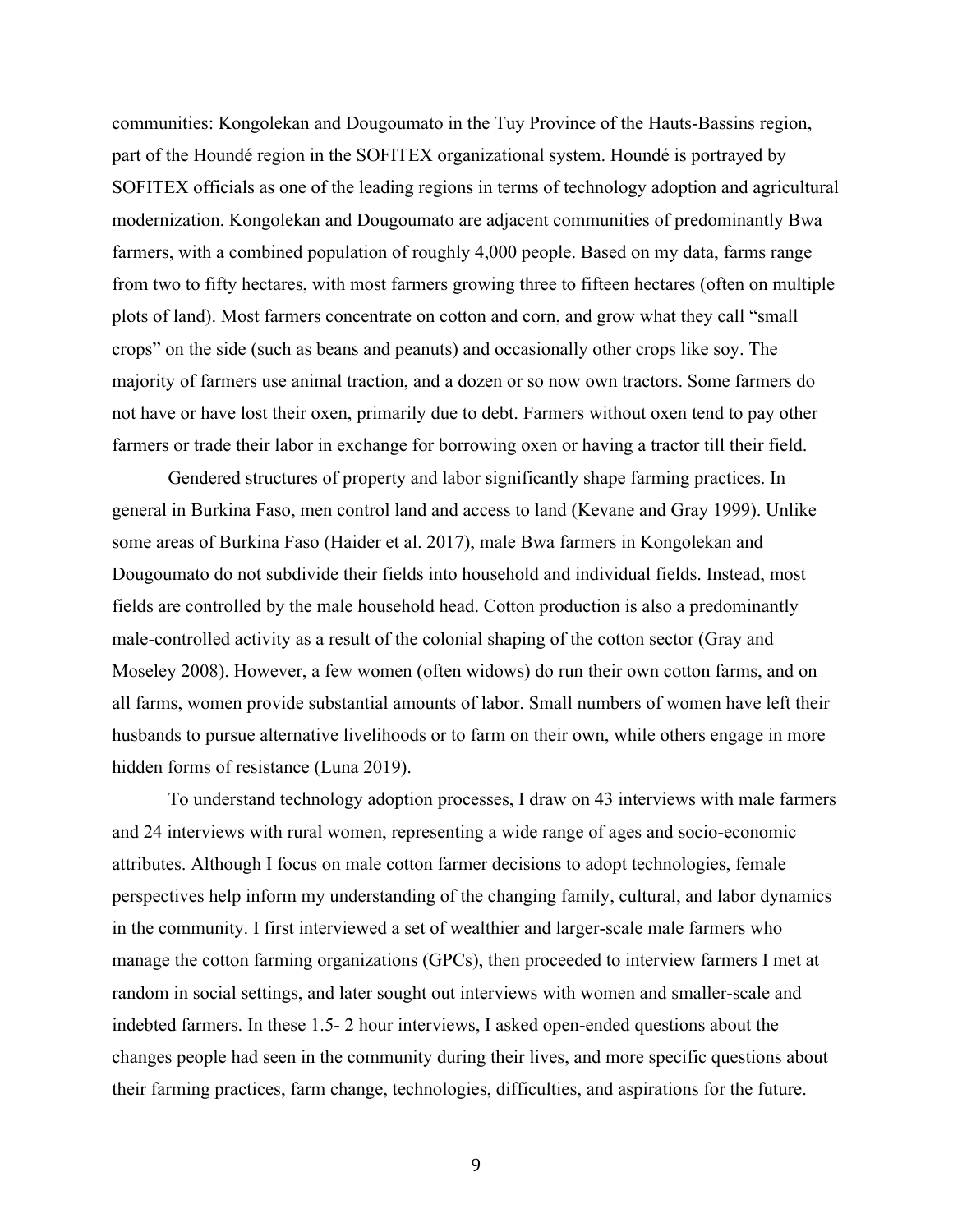communities: Kongolekan and Dougoumato in the Tuy Province of the Hauts-Bassins region, part of the Houndé region in the SOFITEX organizational system. Houndé is portrayed by SOFITEX officials as one of the leading regions in terms of technology adoption and agricultural modernization. Kongolekan and Dougoumato are adjacent communities of predominantly Bwa farmers, with a combined population of roughly 4,000 people. Based on my data, farms range from two to fifty hectares, with most farmers growing three to fifteen hectares (often on multiple plots of land). Most farmers concentrate on cotton and corn, and grow what they call "small crops" on the side (such as beans and peanuts) and occasionally other crops like soy. The majority of farmers use animal traction, and a dozen or so now own tractors. Some farmers do not have or have lost their oxen, primarily due to debt. Farmers without oxen tend to pay other farmers or trade their labor in exchange for borrowing oxen or having a tractor till their field.

Gendered structures of property and labor significantly shape farming practices. In general in Burkina Faso, men control land and access to land (Kevane and Gray 1999). Unlike some areas of Burkina Faso (Haider et al. 2017), male Bwa farmers in Kongolekan and Dougoumato do not subdivide their fields into household and individual fields. Instead, most fields are controlled by the male household head. Cotton production is also a predominantly male-controlled activity as a result of the colonial shaping of the cotton sector (Gray and Moseley 2008). However, a few women (often widows) do run their own cotton farms, and on all farms, women provide substantial amounts of labor. Small numbers of women have left their husbands to pursue alternative livelihoods or to farm on their own, while others engage in more hidden forms of resistance (Luna 2019).

To understand technology adoption processes, I draw on 43 interviews with male farmers and 24 interviews with rural women, representing a wide range of ages and socio-economic attributes. Although I focus on male cotton farmer decisions to adopt technologies, female perspectives help inform my understanding of the changing family, cultural, and labor dynamics in the community. I first interviewed a set of wealthier and larger-scale male farmers who manage the cotton farming organizations (GPCs), then proceeded to interview farmers I met at random in social settings, and later sought out interviews with women and smaller-scale and indebted farmers. In these 1.5- 2 hour interviews, I asked open-ended questions about the changes people had seen in the community during their lives, and more specific questions about their farming practices, farm change, technologies, difficulties, and aspirations for the future.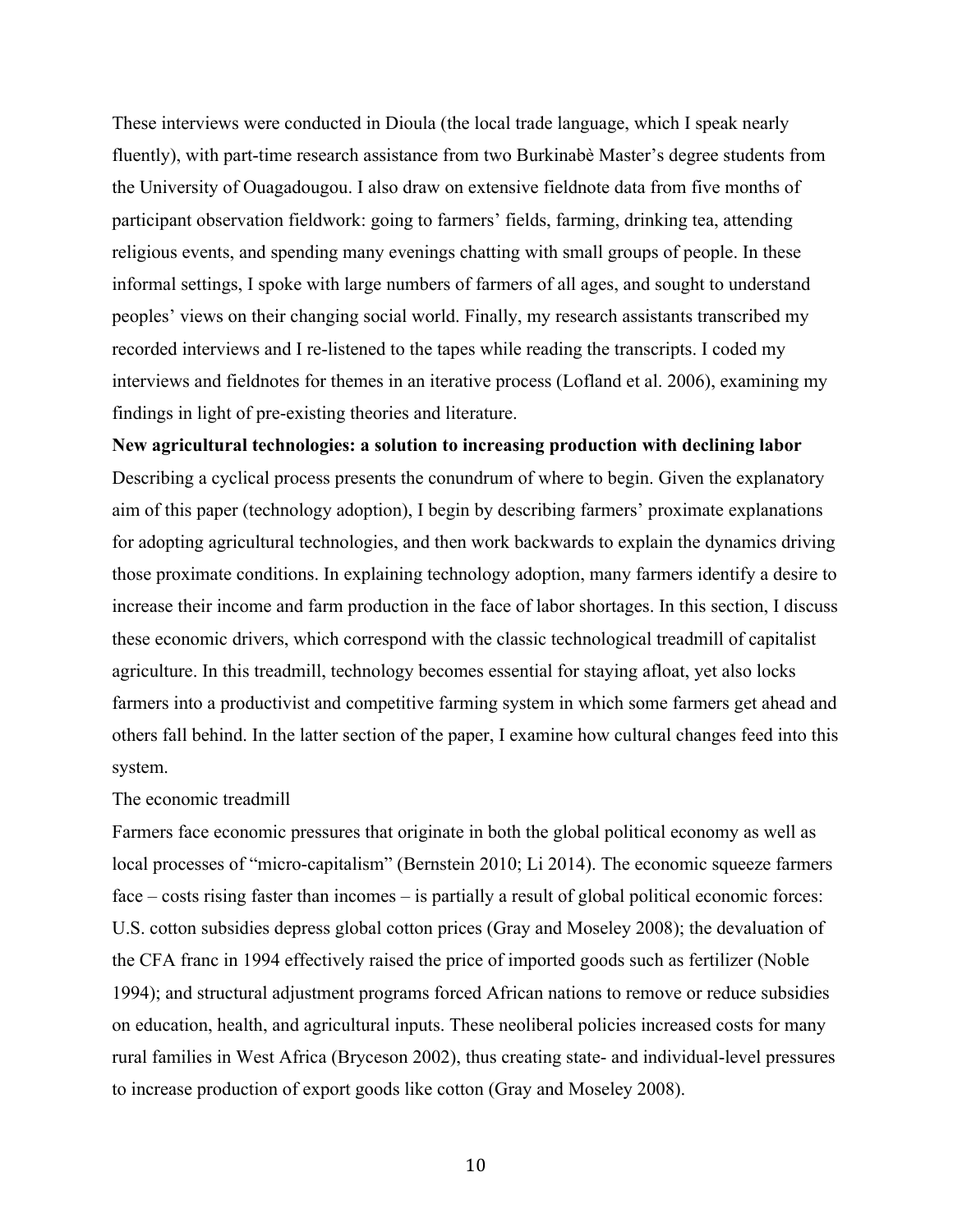These interviews were conducted in Dioula (the local trade language, which I speak nearly fluently), with part-time research assistance from two Burkinabè Master's degree students from the University of Ouagadougou. I also draw on extensive fieldnote data from five months of participant observation fieldwork: going to farmers' fields, farming, drinking tea, attending religious events, and spending many evenings chatting with small groups of people. In these informal settings, I spoke with large numbers of farmers of all ages, and sought to understand peoples' views on their changing social world. Finally, my research assistants transcribed my recorded interviews and I re-listened to the tapes while reading the transcripts. I coded my interviews and fieldnotes for themes in an iterative process (Lofland et al. 2006), examining my findings in light of pre-existing theories and literature.

**New agricultural technologies: a solution to increasing production with declining labor** Describing a cyclical process presents the conundrum of where to begin. Given the explanatory aim of this paper (technology adoption), I begin by describing farmers' proximate explanations for adopting agricultural technologies, and then work backwards to explain the dynamics driving those proximate conditions. In explaining technology adoption, many farmers identify a desire to increase their income and farm production in the face of labor shortages. In this section, I discuss these economic drivers, which correspond with the classic technological treadmill of capitalist agriculture. In this treadmill, technology becomes essential for staying afloat, yet also locks farmers into a productivist and competitive farming system in which some farmers get ahead and others fall behind. In the latter section of the paper, I examine how cultural changes feed into this system.

## The economic treadmill

Farmers face economic pressures that originate in both the global political economy as well as local processes of "micro-capitalism" (Bernstein 2010; Li 2014). The economic squeeze farmers face – costs rising faster than incomes – is partially a result of global political economic forces: U.S. cotton subsidies depress global cotton prices (Gray and Moseley 2008); the devaluation of the CFA franc in 1994 effectively raised the price of imported goods such as fertilizer (Noble 1994); and structural adjustment programs forced African nations to remove or reduce subsidies on education, health, and agricultural inputs. These neoliberal policies increased costs for many rural families in West Africa (Bryceson 2002), thus creating state- and individual-level pressures to increase production of export goods like cotton (Gray and Moseley 2008).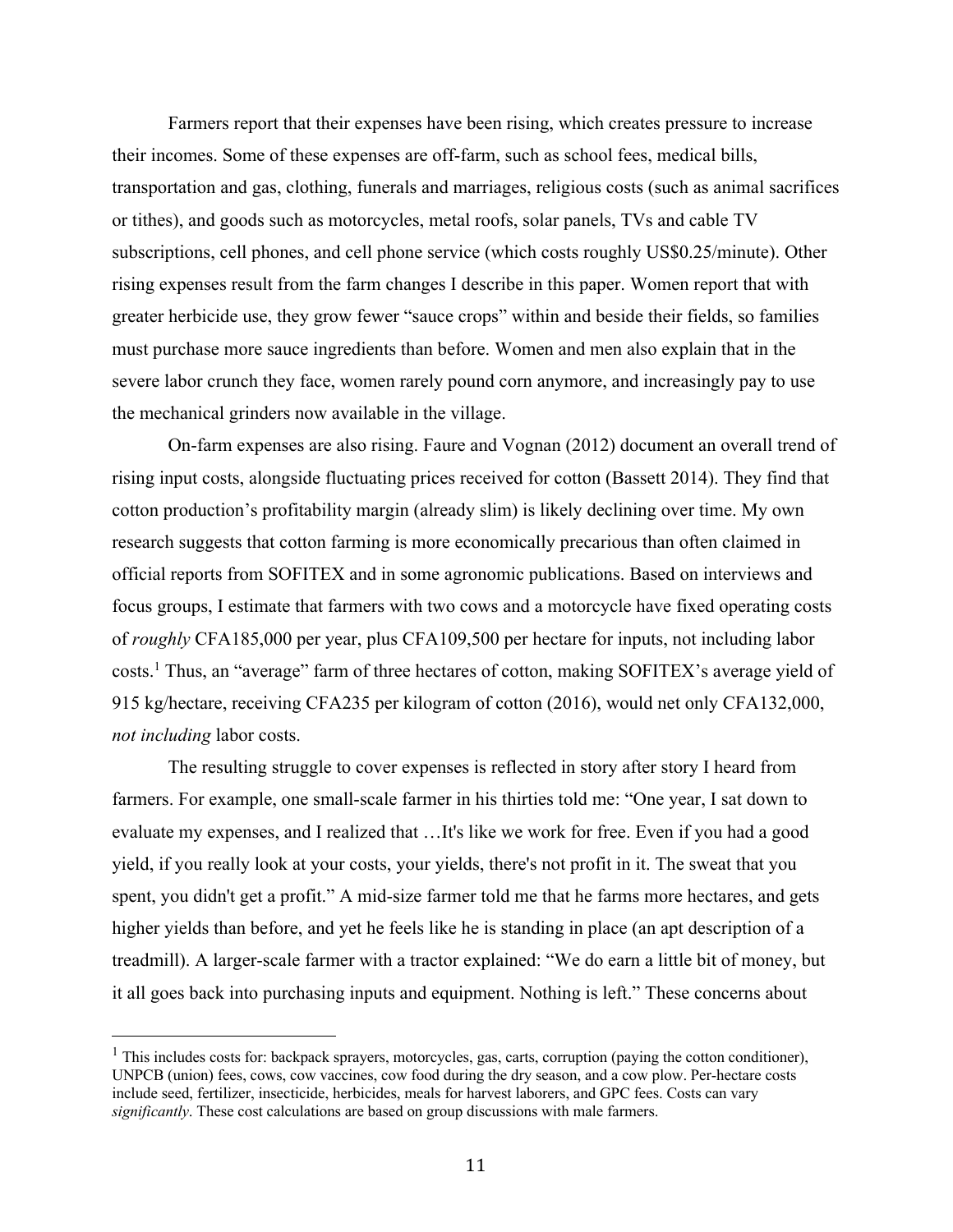Farmers report that their expenses have been rising, which creates pressure to increase their incomes. Some of these expenses are off-farm, such as school fees, medical bills, transportation and gas, clothing, funerals and marriages, religious costs (such as animal sacrifices or tithes), and goods such as motorcycles, metal roofs, solar panels, TVs and cable TV subscriptions, cell phones, and cell phone service (which costs roughly US\$0.25/minute). Other rising expenses result from the farm changes I describe in this paper. Women report that with greater herbicide use, they grow fewer "sauce crops" within and beside their fields, so families must purchase more sauce ingredients than before. Women and men also explain that in the severe labor crunch they face, women rarely pound corn anymore, and increasingly pay to use the mechanical grinders now available in the village.

On-farm expenses are also rising. Faure and Vognan (2012) document an overall trend of rising input costs, alongside fluctuating prices received for cotton (Bassett 2014). They find that cotton production's profitability margin (already slim) is likely declining over time. My own research suggests that cotton farming is more economically precarious than often claimed in official reports from SOFITEX and in some agronomic publications. Based on interviews and focus groups, I estimate that farmers with two cows and a motorcycle have fixed operating costs of *roughly* CFA185,000 per year, plus CFA109,500 per hectare for inputs, not including labor costs.1 Thus, an "average" farm of three hectares of cotton, making SOFITEX's average yield of 915 kg/hectare, receiving CFA235 per kilogram of cotton (2016), would net only CFA132,000, *not including* labor costs.

The resulting struggle to cover expenses is reflected in story after story I heard from farmers. For example, one small-scale farmer in his thirties told me: "One year, I sat down to evaluate my expenses, and I realized that …It's like we work for free. Even if you had a good yield, if you really look at your costs, your yields, there's not profit in it. The sweat that you spent, you didn't get a profit." A mid-size farmer told me that he farms more hectares, and gets higher yields than before, and yet he feels like he is standing in place (an apt description of a treadmill). A larger-scale farmer with a tractor explained: "We do earn a little bit of money, but it all goes back into purchasing inputs and equipment. Nothing is left." These concerns about

 $<sup>1</sup>$  This includes costs for: backpack sprayers, motorcycles, gas, carts, corruption (paying the cotton conditioner),</sup> UNPCB (union) fees, cows, cow vaccines, cow food during the dry season, and a cow plow. Per-hectare costs include seed, fertilizer, insecticide, herbicides, meals for harvest laborers, and GPC fees. Costs can vary *significantly*. These cost calculations are based on group discussions with male farmers.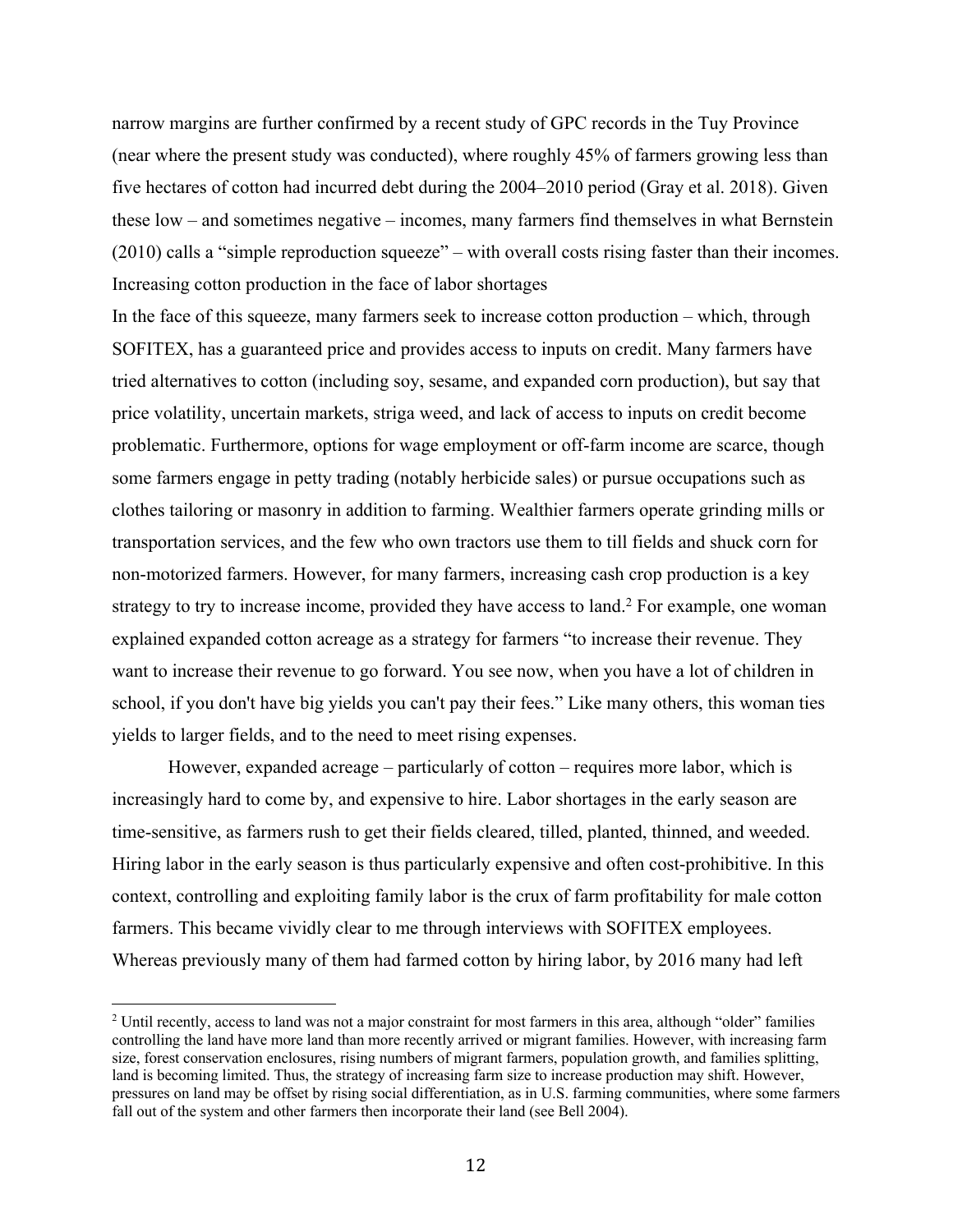narrow margins are further confirmed by a recent study of GPC records in the Tuy Province (near where the present study was conducted), where roughly 45% of farmers growing less than five hectares of cotton had incurred debt during the 2004–2010 period (Gray et al. 2018). Given these low – and sometimes negative – incomes, many farmers find themselves in what Bernstein (2010) calls a "simple reproduction squeeze" – with overall costs rising faster than their incomes. Increasing cotton production in the face of labor shortages

In the face of this squeeze, many farmers seek to increase cotton production – which, through SOFITEX, has a guaranteed price and provides access to inputs on credit. Many farmers have tried alternatives to cotton (including soy, sesame, and expanded corn production), but say that price volatility, uncertain markets, striga weed, and lack of access to inputs on credit become problematic. Furthermore, options for wage employment or off-farm income are scarce, though some farmers engage in petty trading (notably herbicide sales) or pursue occupations such as clothes tailoring or masonry in addition to farming. Wealthier farmers operate grinding mills or transportation services, and the few who own tractors use them to till fields and shuck corn for non-motorized farmers. However, for many farmers, increasing cash crop production is a key strategy to try to increase income, provided they have access to land.<sup>2</sup> For example, one woman explained expanded cotton acreage as a strategy for farmers "to increase their revenue. They want to increase their revenue to go forward. You see now, when you have a lot of children in school, if you don't have big yields you can't pay their fees." Like many others, this woman ties yields to larger fields, and to the need to meet rising expenses.

However, expanded acreage – particularly of cotton – requires more labor, which is increasingly hard to come by, and expensive to hire. Labor shortages in the early season are time-sensitive, as farmers rush to get their fields cleared, tilled, planted, thinned, and weeded. Hiring labor in the early season is thus particularly expensive and often cost-prohibitive. In this context, controlling and exploiting family labor is the crux of farm profitability for male cotton farmers. This became vividly clear to me through interviews with SOFITEX employees. Whereas previously many of them had farmed cotton by hiring labor, by 2016 many had left

 $2$  Until recently, access to land was not a major constraint for most farmers in this area, although "older" families controlling the land have more land than more recently arrived or migrant families. However, with increasing farm size, forest conservation enclosures, rising numbers of migrant farmers, population growth, and families splitting, land is becoming limited. Thus, the strategy of increasing farm size to increase production may shift. However, pressures on land may be offset by rising social differentiation, as in U.S. farming communities, where some farmers fall out of the system and other farmers then incorporate their land (see Bell 2004).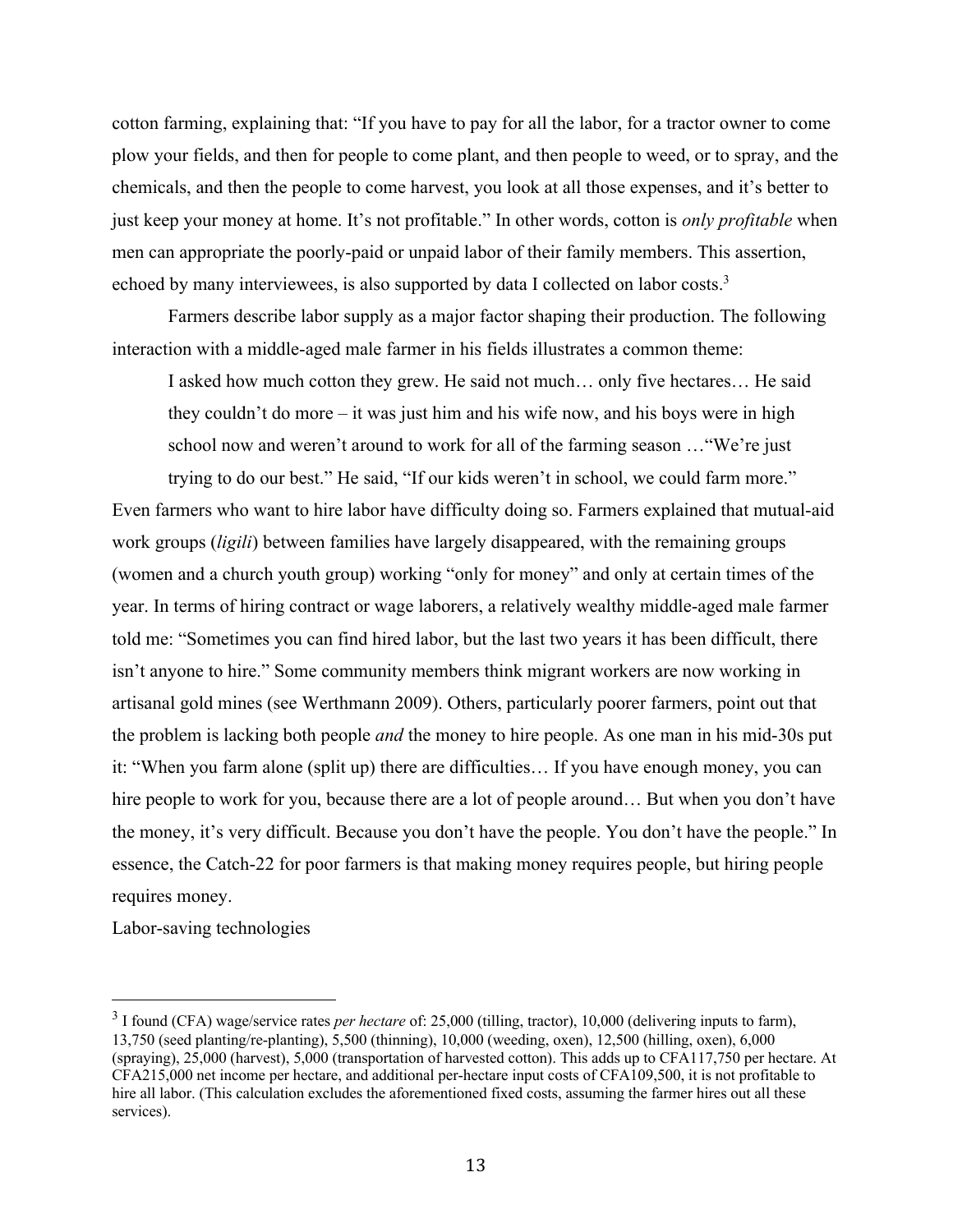cotton farming, explaining that: "If you have to pay for all the labor, for a tractor owner to come plow your fields, and then for people to come plant, and then people to weed, or to spray, and the chemicals, and then the people to come harvest, you look at all those expenses, and it's better to just keep your money at home. It's not profitable." In other words, cotton is *only profitable* when men can appropriate the poorly-paid or unpaid labor of their family members. This assertion, echoed by many interviewees, is also supported by data I collected on labor costs.<sup>3</sup>

Farmers describe labor supply as a major factor shaping their production. The following interaction with a middle-aged male farmer in his fields illustrates a common theme:

I asked how much cotton they grew. He said not much… only five hectares… He said they couldn't do more – it was just him and his wife now, and his boys were in high school now and weren't around to work for all of the farming season …"We're just

trying to do our best." He said, "If our kids weren't in school, we could farm more." Even farmers who want to hire labor have difficulty doing so. Farmers explained that mutual-aid work groups (*ligili*) between families have largely disappeared, with the remaining groups (women and a church youth group) working "only for money" and only at certain times of the year. In terms of hiring contract or wage laborers, a relatively wealthy middle-aged male farmer told me: "Sometimes you can find hired labor, but the last two years it has been difficult, there isn't anyone to hire." Some community members think migrant workers are now working in artisanal gold mines (see Werthmann 2009). Others, particularly poorer farmers, point out that the problem is lacking both people *and* the money to hire people. As one man in his mid-30s put it: "When you farm alone (split up) there are difficulties… If you have enough money, you can hire people to work for you, because there are a lot of people around... But when you don't have the money, it's very difficult. Because you don't have the people. You don't have the people." In essence, the Catch-22 for poor farmers is that making money requires people, but hiring people requires money.

Labor-saving technologies

<sup>&</sup>lt;sup>3</sup> I found (CFA) wage/service rates *per hectare* of: 25,000 (tilling, tractor), 10,000 (delivering inputs to farm), 13,750 (seed planting/re-planting), 5,500 (thinning), 10,000 (weeding, oxen), 12,500 (hilling, oxen), 6,000 (spraying), 25,000 (harvest), 5,000 (transportation of harvested cotton). This adds up to CFA117,750 per hectare. At CFA215,000 net income per hectare, and additional per-hectare input costs of CFA109,500, it is not profitable to hire all labor. (This calculation excludes the aforementioned fixed costs, assuming the farmer hires out all these services).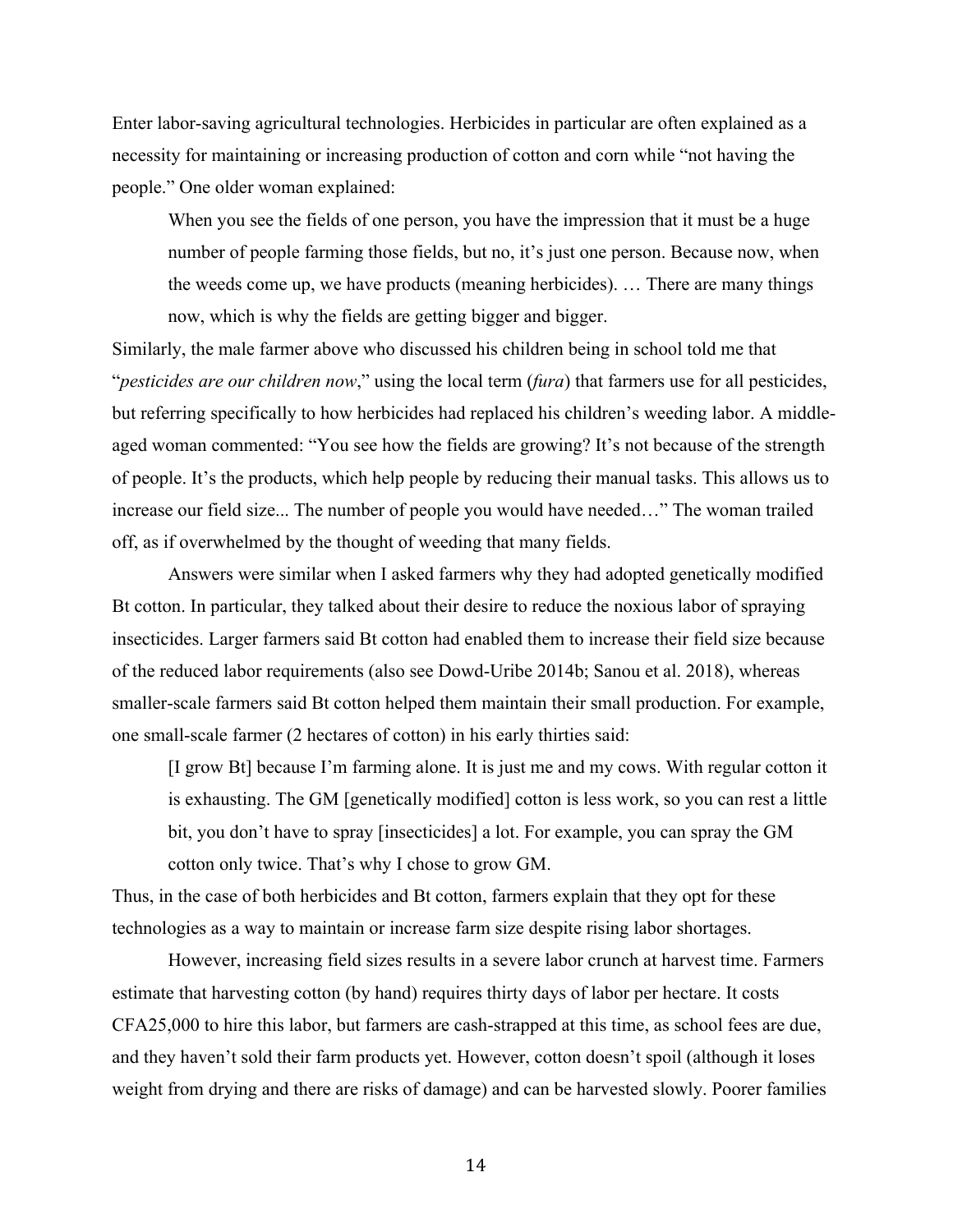Enter labor-saving agricultural technologies. Herbicides in particular are often explained as a necessity for maintaining or increasing production of cotton and corn while "not having the people." One older woman explained:

When you see the fields of one person, you have the impression that it must be a huge number of people farming those fields, but no, it's just one person. Because now, when the weeds come up, we have products (meaning herbicides). … There are many things now, which is why the fields are getting bigger and bigger.

Similarly, the male farmer above who discussed his children being in school told me that "*pesticides are our children now*," using the local term (*fura*) that farmers use for all pesticides, but referring specifically to how herbicides had replaced his children's weeding labor. A middleaged woman commented: "You see how the fields are growing? It's not because of the strength of people. It's the products, which help people by reducing their manual tasks. This allows us to increase our field size... The number of people you would have needed…" The woman trailed off, as if overwhelmed by the thought of weeding that many fields.

Answers were similar when I asked farmers why they had adopted genetically modified Bt cotton. In particular, they talked about their desire to reduce the noxious labor of spraying insecticides. Larger farmers said Bt cotton had enabled them to increase their field size because of the reduced labor requirements (also see Dowd-Uribe 2014b; Sanou et al. 2018), whereas smaller-scale farmers said Bt cotton helped them maintain their small production. For example, one small-scale farmer (2 hectares of cotton) in his early thirties said:

[I grow Bt] because I'm farming alone. It is just me and my cows. With regular cotton it is exhausting. The GM [genetically modified] cotton is less work, so you can rest a little bit, you don't have to spray [insecticides] a lot. For example, you can spray the GM cotton only twice. That's why I chose to grow GM.

Thus, in the case of both herbicides and Bt cotton, farmers explain that they opt for these technologies as a way to maintain or increase farm size despite rising labor shortages.

However, increasing field sizes results in a severe labor crunch at harvest time. Farmers estimate that harvesting cotton (by hand) requires thirty days of labor per hectare. It costs CFA25,000 to hire this labor, but farmers are cash-strapped at this time, as school fees are due, and they haven't sold their farm products yet. However, cotton doesn't spoil (although it loses weight from drying and there are risks of damage) and can be harvested slowly. Poorer families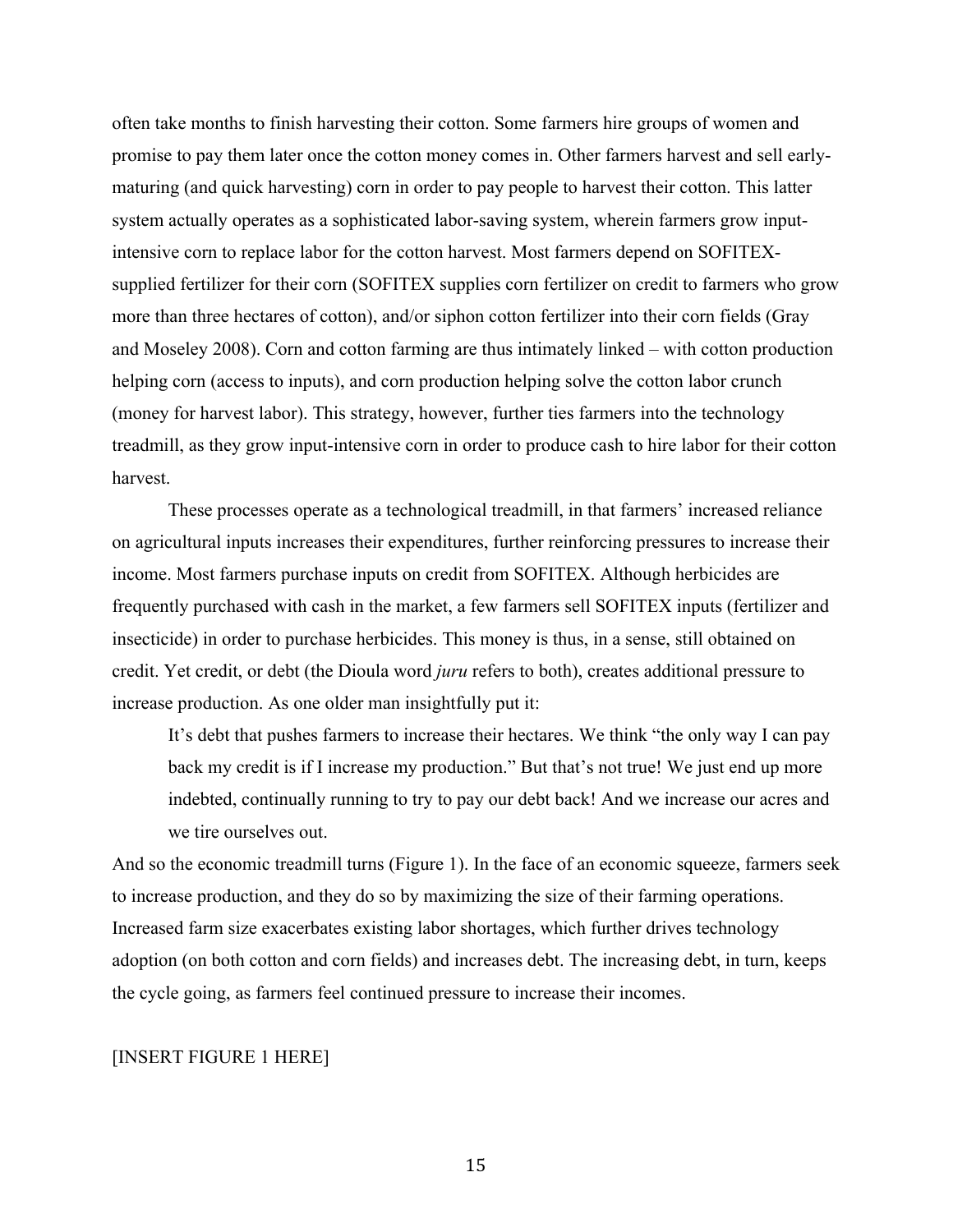often take months to finish harvesting their cotton. Some farmers hire groups of women and promise to pay them later once the cotton money comes in. Other farmers harvest and sell earlymaturing (and quick harvesting) corn in order to pay people to harvest their cotton. This latter system actually operates as a sophisticated labor-saving system, wherein farmers grow inputintensive corn to replace labor for the cotton harvest. Most farmers depend on SOFITEXsupplied fertilizer for their corn (SOFITEX supplies corn fertilizer on credit to farmers who grow more than three hectares of cotton), and/or siphon cotton fertilizer into their corn fields (Gray and Moseley 2008). Corn and cotton farming are thus intimately linked – with cotton production helping corn (access to inputs), and corn production helping solve the cotton labor crunch (money for harvest labor). This strategy, however, further ties farmers into the technology treadmill, as they grow input-intensive corn in order to produce cash to hire labor for their cotton harvest.

These processes operate as a technological treadmill, in that farmers' increased reliance on agricultural inputs increases their expenditures, further reinforcing pressures to increase their income. Most farmers purchase inputs on credit from SOFITEX. Although herbicides are frequently purchased with cash in the market, a few farmers sell SOFITEX inputs (fertilizer and insecticide) in order to purchase herbicides. This money is thus, in a sense, still obtained on credit. Yet credit, or debt (the Dioula word *juru* refers to both), creates additional pressure to increase production. As one older man insightfully put it:

It's debt that pushes farmers to increase their hectares. We think "the only way I can pay back my credit is if I increase my production." But that's not true! We just end up more indebted, continually running to try to pay our debt back! And we increase our acres and we tire ourselves out.

And so the economic treadmill turns (Figure 1). In the face of an economic squeeze, farmers seek to increase production, and they do so by maximizing the size of their farming operations. Increased farm size exacerbates existing labor shortages, which further drives technology adoption (on both cotton and corn fields) and increases debt. The increasing debt, in turn, keeps the cycle going, as farmers feel continued pressure to increase their incomes.

# [INSERT FIGURE 1 HERE]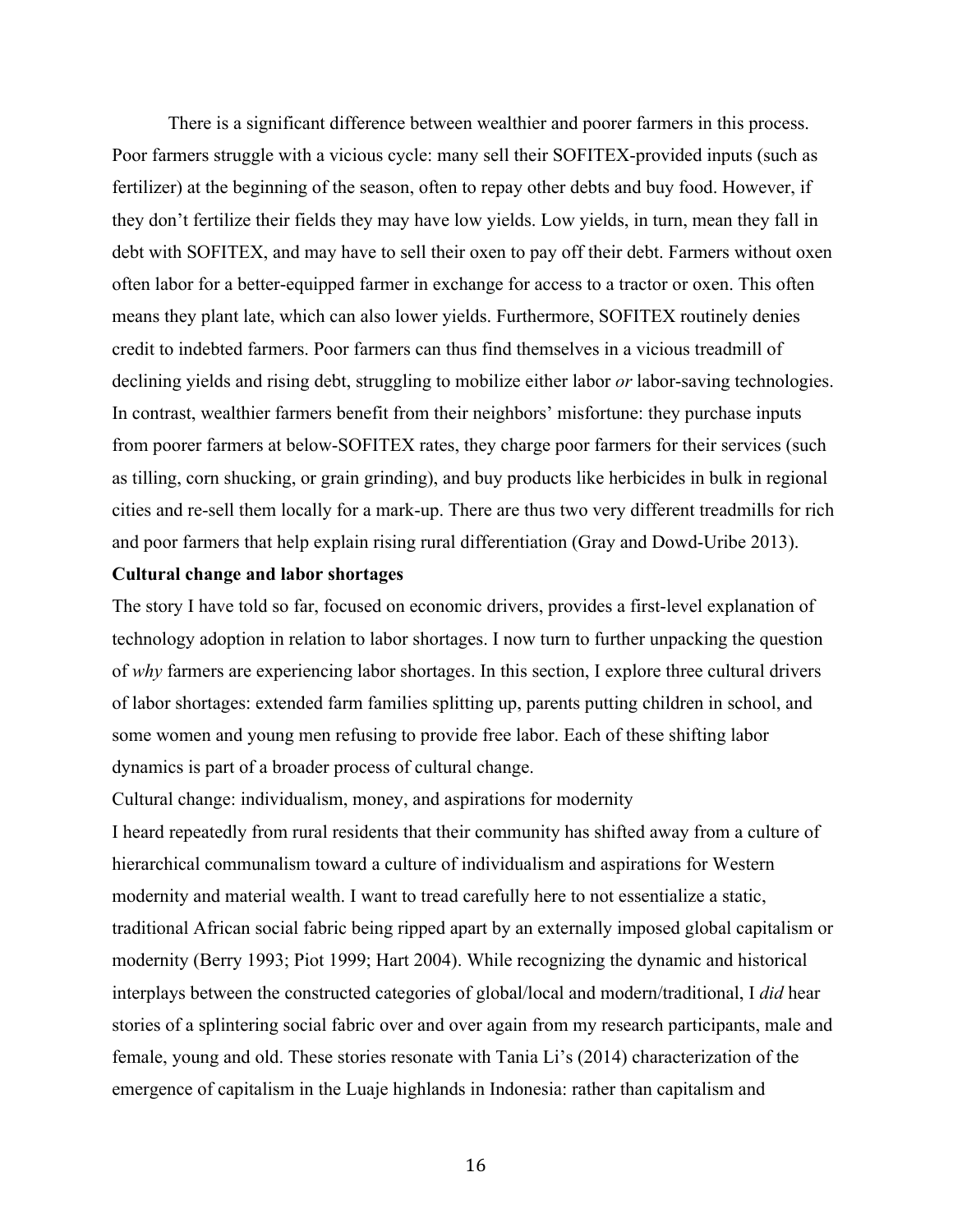There is a significant difference between wealthier and poorer farmers in this process. Poor farmers struggle with a vicious cycle: many sell their SOFITEX-provided inputs (such as fertilizer) at the beginning of the season, often to repay other debts and buy food. However, if they don't fertilize their fields they may have low yields. Low yields, in turn, mean they fall in debt with SOFITEX, and may have to sell their oxen to pay off their debt. Farmers without oxen often labor for a better-equipped farmer in exchange for access to a tractor or oxen. This often means they plant late, which can also lower yields. Furthermore, SOFITEX routinely denies credit to indebted farmers. Poor farmers can thus find themselves in a vicious treadmill of declining yields and rising debt, struggling to mobilize either labor *or* labor-saving technologies. In contrast, wealthier farmers benefit from their neighbors' misfortune: they purchase inputs from poorer farmers at below-SOFITEX rates, they charge poor farmers for their services (such as tilling, corn shucking, or grain grinding), and buy products like herbicides in bulk in regional cities and re-sell them locally for a mark-up. There are thus two very different treadmills for rich and poor farmers that help explain rising rural differentiation (Gray and Dowd-Uribe 2013).

# **Cultural change and labor shortages**

The story I have told so far, focused on economic drivers, provides a first-level explanation of technology adoption in relation to labor shortages. I now turn to further unpacking the question of *why* farmers are experiencing labor shortages. In this section, I explore three cultural drivers of labor shortages: extended farm families splitting up, parents putting children in school, and some women and young men refusing to provide free labor. Each of these shifting labor dynamics is part of a broader process of cultural change.

Cultural change: individualism, money, and aspirations for modernity I heard repeatedly from rural residents that their community has shifted away from a culture of hierarchical communalism toward a culture of individualism and aspirations for Western modernity and material wealth. I want to tread carefully here to not essentialize a static, traditional African social fabric being ripped apart by an externally imposed global capitalism or modernity (Berry 1993; Piot 1999; Hart 2004). While recognizing the dynamic and historical interplays between the constructed categories of global/local and modern/traditional, I *did* hear stories of a splintering social fabric over and over again from my research participants, male and female, young and old. These stories resonate with Tania Li's (2014) characterization of the emergence of capitalism in the Luaje highlands in Indonesia: rather than capitalism and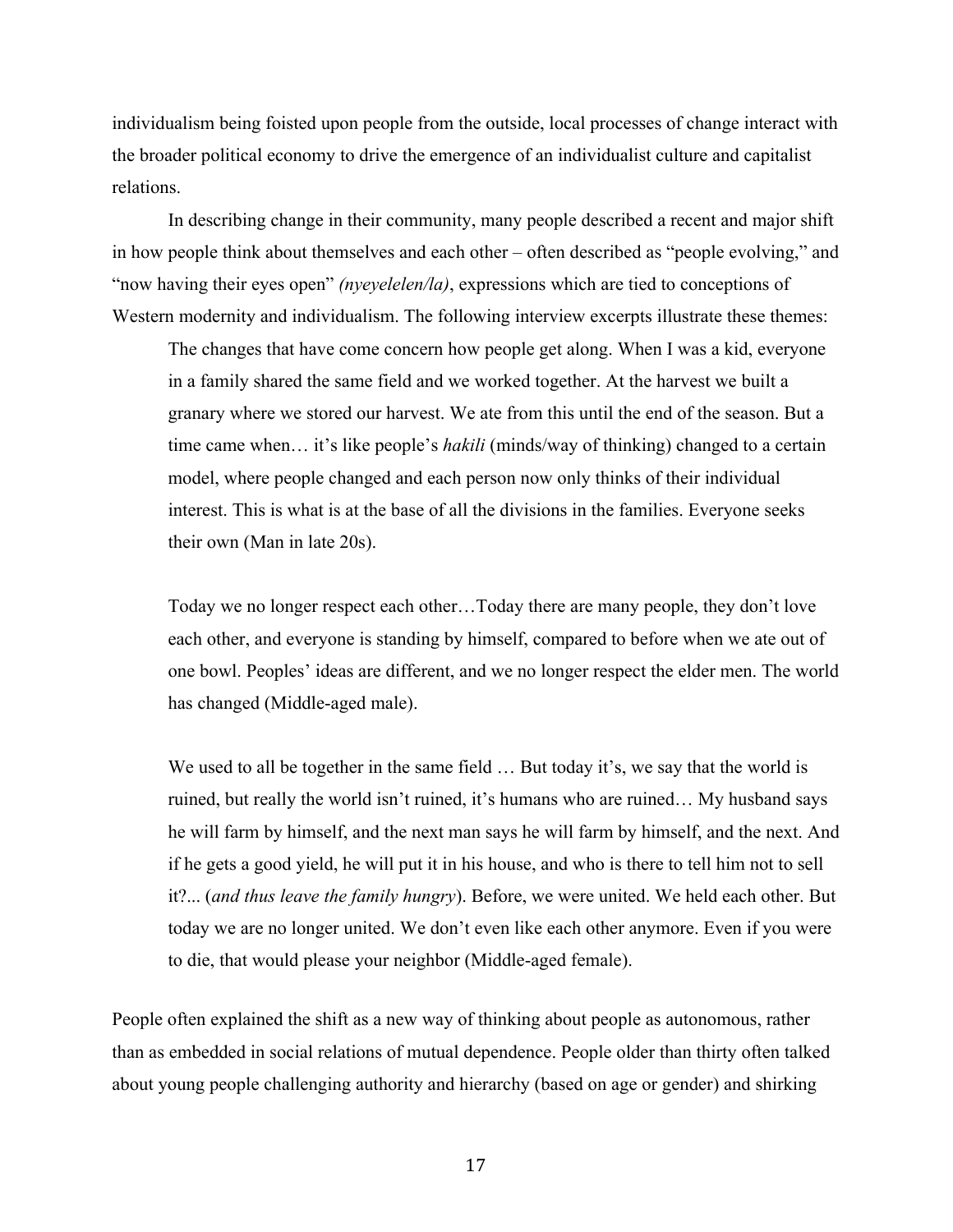individualism being foisted upon people from the outside, local processes of change interact with the broader political economy to drive the emergence of an individualist culture and capitalist relations.

In describing change in their community, many people described a recent and major shift in how people think about themselves and each other – often described as "people evolving," and "now having their eyes open" *(nyeyelelen/la)*, expressions which are tied to conceptions of Western modernity and individualism. The following interview excerpts illustrate these themes:

The changes that have come concern how people get along. When I was a kid, everyone in a family shared the same field and we worked together. At the harvest we built a granary where we stored our harvest. We ate from this until the end of the season. But a time came when… it's like people's *hakili* (minds/way of thinking) changed to a certain model, where people changed and each person now only thinks of their individual interest. This is what is at the base of all the divisions in the families. Everyone seeks their own (Man in late 20s).

Today we no longer respect each other…Today there are many people, they don't love each other, and everyone is standing by himself, compared to before when we ate out of one bowl. Peoples' ideas are different, and we no longer respect the elder men. The world has changed (Middle-aged male).

We used to all be together in the same field ... But today it's, we say that the world is ruined, but really the world isn't ruined, it's humans who are ruined… My husband says he will farm by himself, and the next man says he will farm by himself, and the next. And if he gets a good yield, he will put it in his house, and who is there to tell him not to sell it?... (*and thus leave the family hungry*). Before, we were united. We held each other. But today we are no longer united. We don't even like each other anymore. Even if you were to die, that would please your neighbor (Middle-aged female).

People often explained the shift as a new way of thinking about people as autonomous, rather than as embedded in social relations of mutual dependence. People older than thirty often talked about young people challenging authority and hierarchy (based on age or gender) and shirking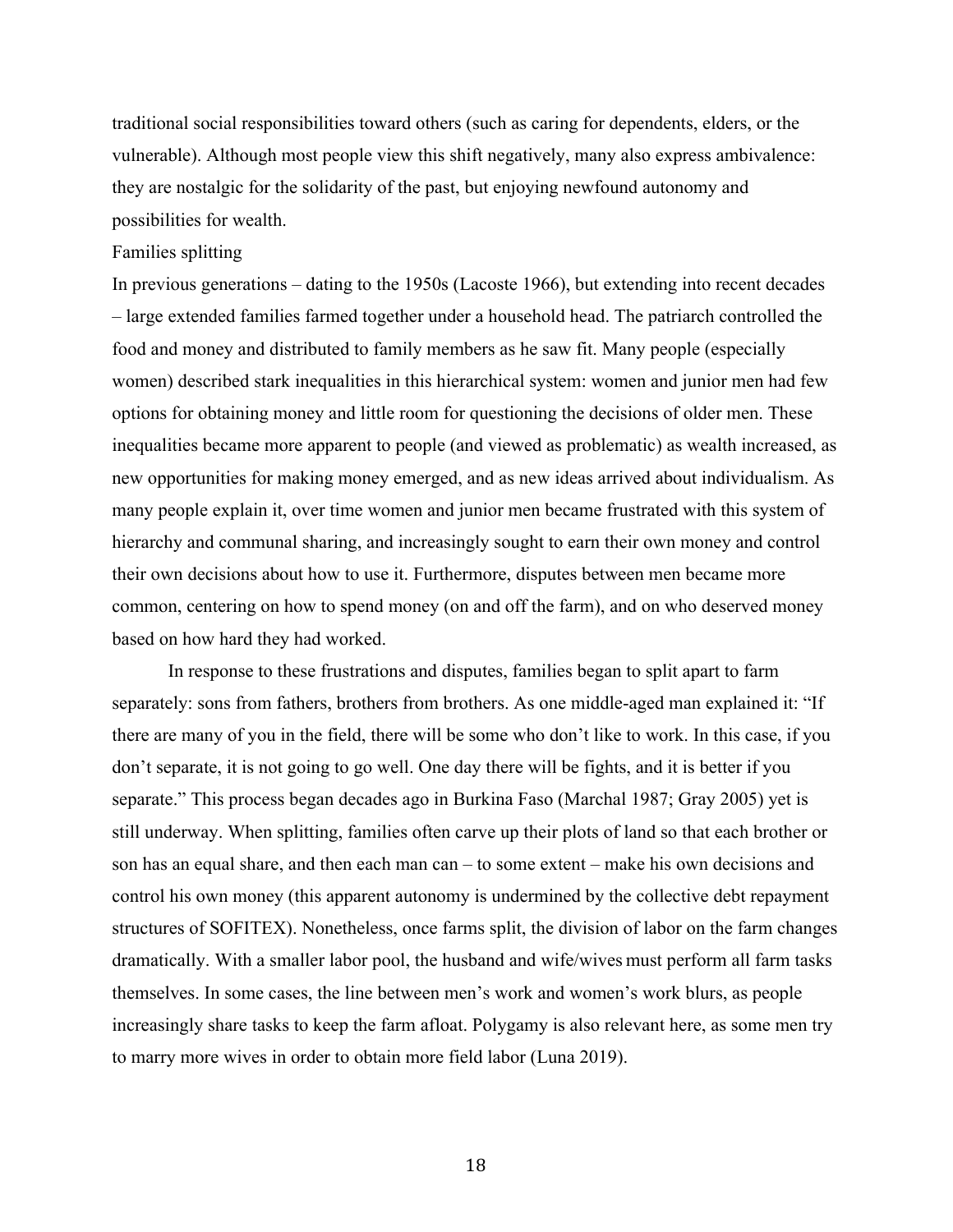traditional social responsibilities toward others (such as caring for dependents, elders, or the vulnerable). Although most people view this shift negatively, many also express ambivalence: they are nostalgic for the solidarity of the past, but enjoying newfound autonomy and possibilities for wealth.

### Families splitting

In previous generations – dating to the 1950s (Lacoste 1966), but extending into recent decades – large extended families farmed together under a household head. The patriarch controlled the food and money and distributed to family members as he saw fit. Many people (especially women) described stark inequalities in this hierarchical system: women and junior men had few options for obtaining money and little room for questioning the decisions of older men. These inequalities became more apparent to people (and viewed as problematic) as wealth increased, as new opportunities for making money emerged, and as new ideas arrived about individualism. As many people explain it, over time women and junior men became frustrated with this system of hierarchy and communal sharing, and increasingly sought to earn their own money and control their own decisions about how to use it. Furthermore, disputes between men became more common, centering on how to spend money (on and off the farm), and on who deserved money based on how hard they had worked.

In response to these frustrations and disputes, families began to split apart to farm separately: sons from fathers, brothers from brothers. As one middle-aged man explained it: "If there are many of you in the field, there will be some who don't like to work. In this case, if you don't separate, it is not going to go well. One day there will be fights, and it is better if you separate." This process began decades ago in Burkina Faso (Marchal 1987; Gray 2005) yet is still underway. When splitting, families often carve up their plots of land so that each brother or son has an equal share, and then each man can – to some extent – make his own decisions and control his own money (this apparent autonomy is undermined by the collective debt repayment structures of SOFITEX). Nonetheless, once farms split, the division of labor on the farm changes dramatically. With a smaller labor pool, the husband and wife/wives must perform all farm tasks themselves. In some cases, the line between men's work and women's work blurs, as people increasingly share tasks to keep the farm afloat. Polygamy is also relevant here, as some men try to marry more wives in order to obtain more field labor (Luna 2019).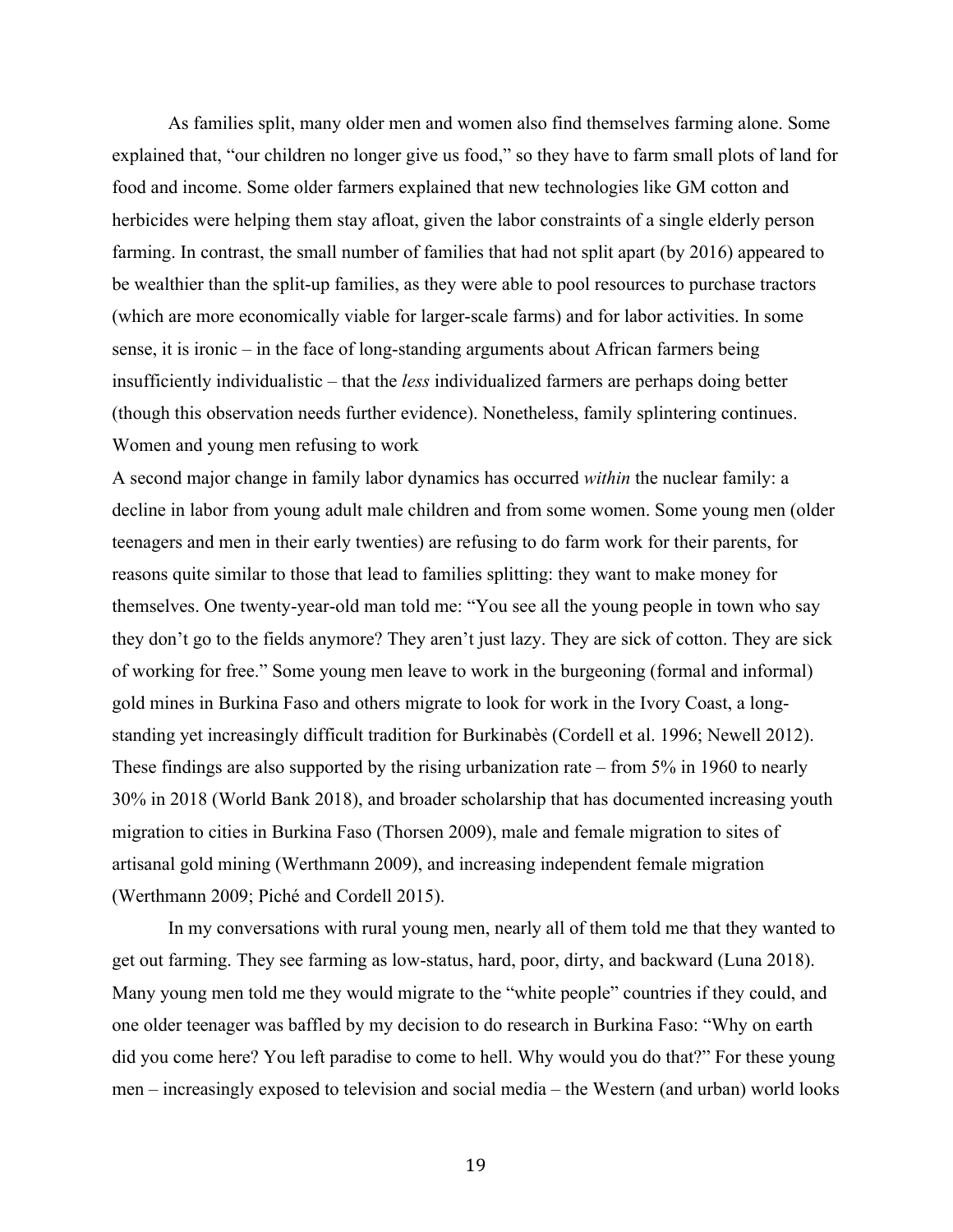As families split, many older men and women also find themselves farming alone. Some explained that, "our children no longer give us food," so they have to farm small plots of land for food and income. Some older farmers explained that new technologies like GM cotton and herbicides were helping them stay afloat, given the labor constraints of a single elderly person farming. In contrast, the small number of families that had not split apart (by 2016) appeared to be wealthier than the split-up families, as they were able to pool resources to purchase tractors (which are more economically viable for larger-scale farms) and for labor activities. In some sense, it is ironic – in the face of long-standing arguments about African farmers being insufficiently individualistic – that the *less* individualized farmers are perhaps doing better (though this observation needs further evidence). Nonetheless, family splintering continues. Women and young men refusing to work

A second major change in family labor dynamics has occurred *within* the nuclear family: a decline in labor from young adult male children and from some women. Some young men (older teenagers and men in their early twenties) are refusing to do farm work for their parents, for reasons quite similar to those that lead to families splitting: they want to make money for themselves. One twenty-year-old man told me: "You see all the young people in town who say they don't go to the fields anymore? They aren't just lazy. They are sick of cotton. They are sick of working for free." Some young men leave to work in the burgeoning (formal and informal) gold mines in Burkina Faso and others migrate to look for work in the Ivory Coast, a longstanding yet increasingly difficult tradition for Burkinabès (Cordell et al. 1996; Newell 2012). These findings are also supported by the rising urbanization rate – from 5% in 1960 to nearly 30% in 2018 (World Bank 2018), and broader scholarship that has documented increasing youth migration to cities in Burkina Faso (Thorsen 2009), male and female migration to sites of artisanal gold mining (Werthmann 2009), and increasing independent female migration (Werthmann 2009; Piché and Cordell 2015).

In my conversations with rural young men, nearly all of them told me that they wanted to get out farming. They see farming as low-status, hard, poor, dirty, and backward (Luna 2018). Many young men told me they would migrate to the "white people" countries if they could, and one older teenager was baffled by my decision to do research in Burkina Faso: "Why on earth did you come here? You left paradise to come to hell. Why would you do that?" For these young men – increasingly exposed to television and social media – the Western (and urban) world looks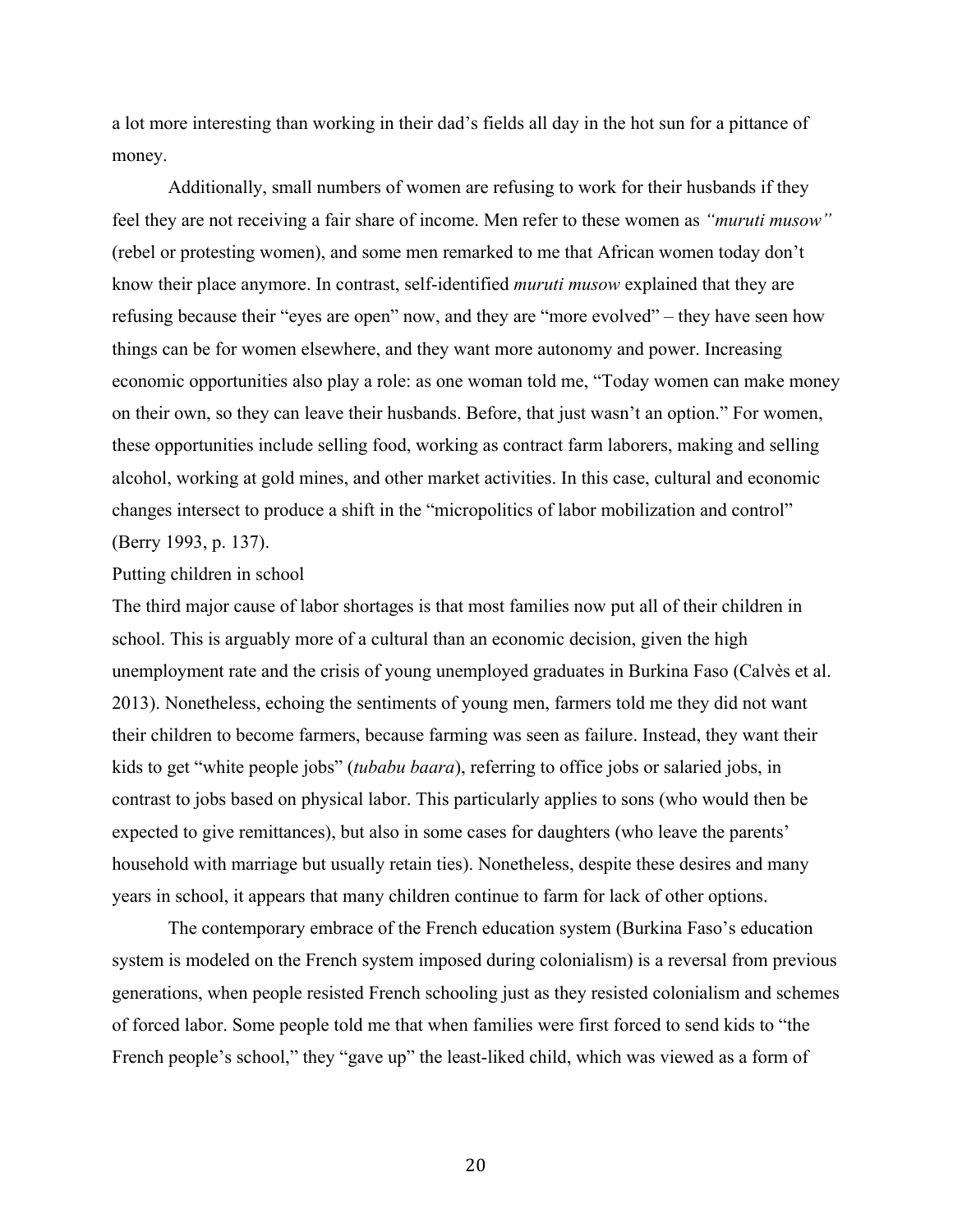a lot more interesting than working in their dad's fields all day in the hot sun for a pittance of money.

Additionally, small numbers of women are refusing to work for their husbands if they feel they are not receiving a fair share of income. Men refer to these women as *"muruti musow"*  (rebel or protesting women), and some men remarked to me that African women today don't know their place anymore. In contrast, self-identified *muruti musow* explained that they are refusing because their "eyes are open" now, and they are "more evolved" – they have seen how things can be for women elsewhere, and they want more autonomy and power. Increasing economic opportunities also play a role: as one woman told me, "Today women can make money on their own, so they can leave their husbands. Before, that just wasn't an option." For women, these opportunities include selling food, working as contract farm laborers, making and selling alcohol, working at gold mines, and other market activities. In this case, cultural and economic changes intersect to produce a shift in the "micropolitics of labor mobilization and control" (Berry 1993, p. 137).

#### Putting children in school

The third major cause of labor shortages is that most families now put all of their children in school. This is arguably more of a cultural than an economic decision, given the high unemployment rate and the crisis of young unemployed graduates in Burkina Faso (Calvès et al. 2013). Nonetheless, echoing the sentiments of young men, farmers told me they did not want their children to become farmers, because farming was seen as failure. Instead, they want their kids to get "white people jobs" (*tubabu baara*), referring to office jobs or salaried jobs, in contrast to jobs based on physical labor. This particularly applies to sons (who would then be expected to give remittances), but also in some cases for daughters (who leave the parents' household with marriage but usually retain ties). Nonetheless, despite these desires and many years in school, it appears that many children continue to farm for lack of other options.

The contemporary embrace of the French education system (Burkina Faso's education system is modeled on the French system imposed during colonialism) is a reversal from previous generations, when people resisted French schooling just as they resisted colonialism and schemes of forced labor. Some people told me that when families were first forced to send kids to "the French people's school," they "gave up" the least-liked child, which was viewed as a form of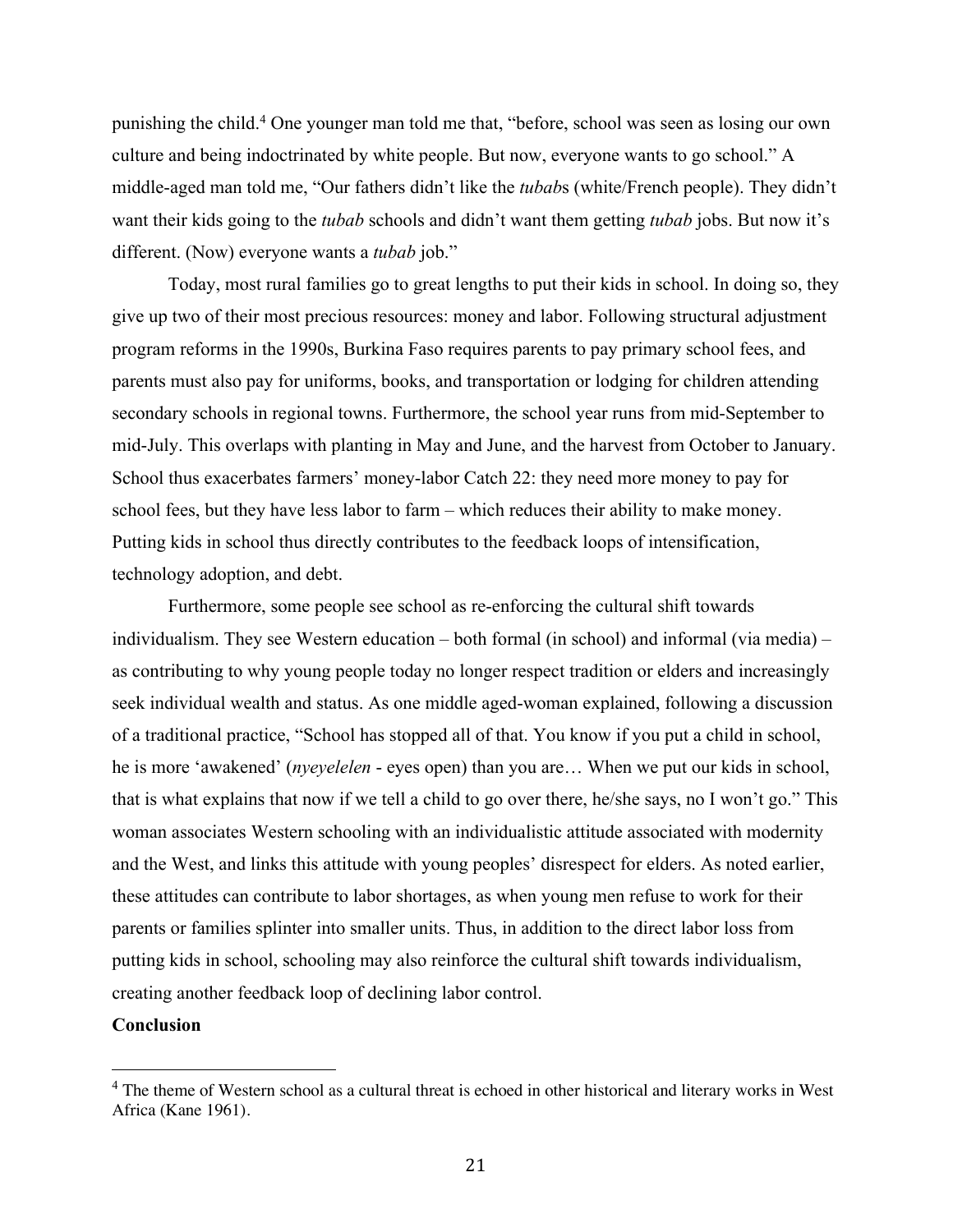punishing the child.4 One younger man told me that, "before, school was seen as losing our own culture and being indoctrinated by white people. But now, everyone wants to go school." A middle-aged man told me, "Our fathers didn't like the *tubab*s (white/French people). They didn't want their kids going to the *tubab* schools and didn't want them getting *tubab* jobs. But now it's different. (Now) everyone wants a *tubab* job."

Today, most rural families go to great lengths to put their kids in school. In doing so, they give up two of their most precious resources: money and labor. Following structural adjustment program reforms in the 1990s, Burkina Faso requires parents to pay primary school fees, and parents must also pay for uniforms, books, and transportation or lodging for children attending secondary schools in regional towns. Furthermore, the school year runs from mid-September to mid-July. This overlaps with planting in May and June, and the harvest from October to January. School thus exacerbates farmers' money-labor Catch 22: they need more money to pay for school fees, but they have less labor to farm – which reduces their ability to make money. Putting kids in school thus directly contributes to the feedback loops of intensification, technology adoption, and debt.

Furthermore, some people see school as re-enforcing the cultural shift towards individualism. They see Western education – both formal (in school) and informal (via media) – as contributing to why young people today no longer respect tradition or elders and increasingly seek individual wealth and status. As one middle aged-woman explained, following a discussion of a traditional practice, "School has stopped all of that. You know if you put a child in school, he is more 'awakened' (*nyeyelelen* - eyes open) than you are… When we put our kids in school, that is what explains that now if we tell a child to go over there, he/she says, no I won't go." This woman associates Western schooling with an individualistic attitude associated with modernity and the West, and links this attitude with young peoples' disrespect for elders. As noted earlier, these attitudes can contribute to labor shortages, as when young men refuse to work for their parents or families splinter into smaller units. Thus, in addition to the direct labor loss from putting kids in school, schooling may also reinforce the cultural shift towards individualism, creating another feedback loop of declining labor control.

# **Conclusion**

<sup>&</sup>lt;sup>4</sup> The theme of Western school as a cultural threat is echoed in other historical and literary works in West Africa (Kane 1961).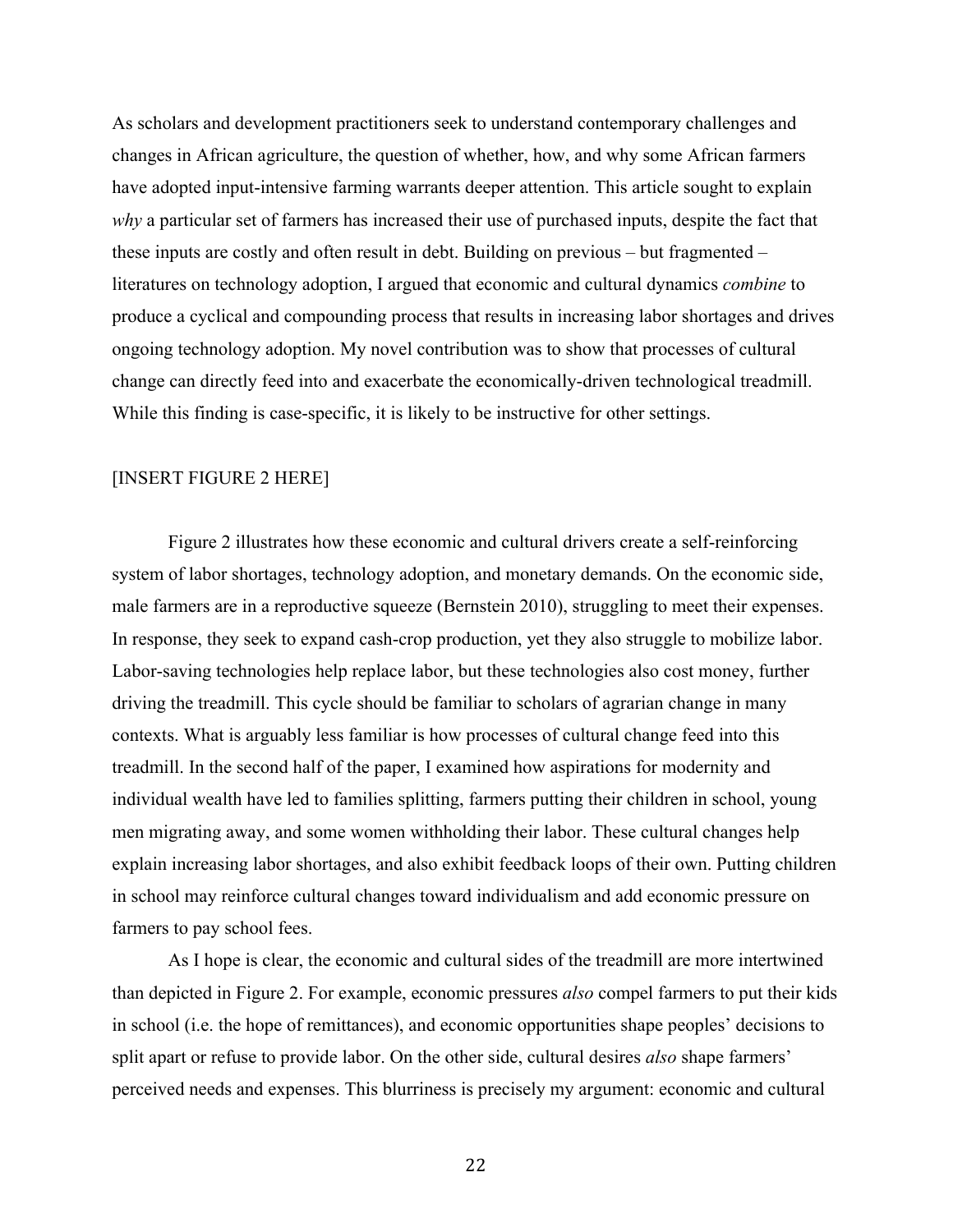As scholars and development practitioners seek to understand contemporary challenges and changes in African agriculture, the question of whether, how, and why some African farmers have adopted input-intensive farming warrants deeper attention. This article sought to explain *why* a particular set of farmers has increased their use of purchased inputs, despite the fact that these inputs are costly and often result in debt. Building on previous – but fragmented – literatures on technology adoption, I argued that economic and cultural dynamics *combine* to produce a cyclical and compounding process that results in increasing labor shortages and drives ongoing technology adoption. My novel contribution was to show that processes of cultural change can directly feed into and exacerbate the economically-driven technological treadmill. While this finding is case-specific, it is likely to be instructive for other settings.

# [INSERT FIGURE 2 HERE]

Figure 2 illustrates how these economic and cultural drivers create a self-reinforcing system of labor shortages, technology adoption, and monetary demands. On the economic side, male farmers are in a reproductive squeeze (Bernstein 2010), struggling to meet their expenses. In response, they seek to expand cash-crop production, yet they also struggle to mobilize labor. Labor-saving technologies help replace labor, but these technologies also cost money, further driving the treadmill. This cycle should be familiar to scholars of agrarian change in many contexts. What is arguably less familiar is how processes of cultural change feed into this treadmill. In the second half of the paper, I examined how aspirations for modernity and individual wealth have led to families splitting, farmers putting their children in school, young men migrating away, and some women withholding their labor. These cultural changes help explain increasing labor shortages, and also exhibit feedback loops of their own. Putting children in school may reinforce cultural changes toward individualism and add economic pressure on farmers to pay school fees.

As I hope is clear, the economic and cultural sides of the treadmill are more intertwined than depicted in Figure 2. For example, economic pressures *also* compel farmers to put their kids in school (i.e. the hope of remittances), and economic opportunities shape peoples' decisions to split apart or refuse to provide labor. On the other side, cultural desires *also* shape farmers' perceived needs and expenses. This blurriness is precisely my argument: economic and cultural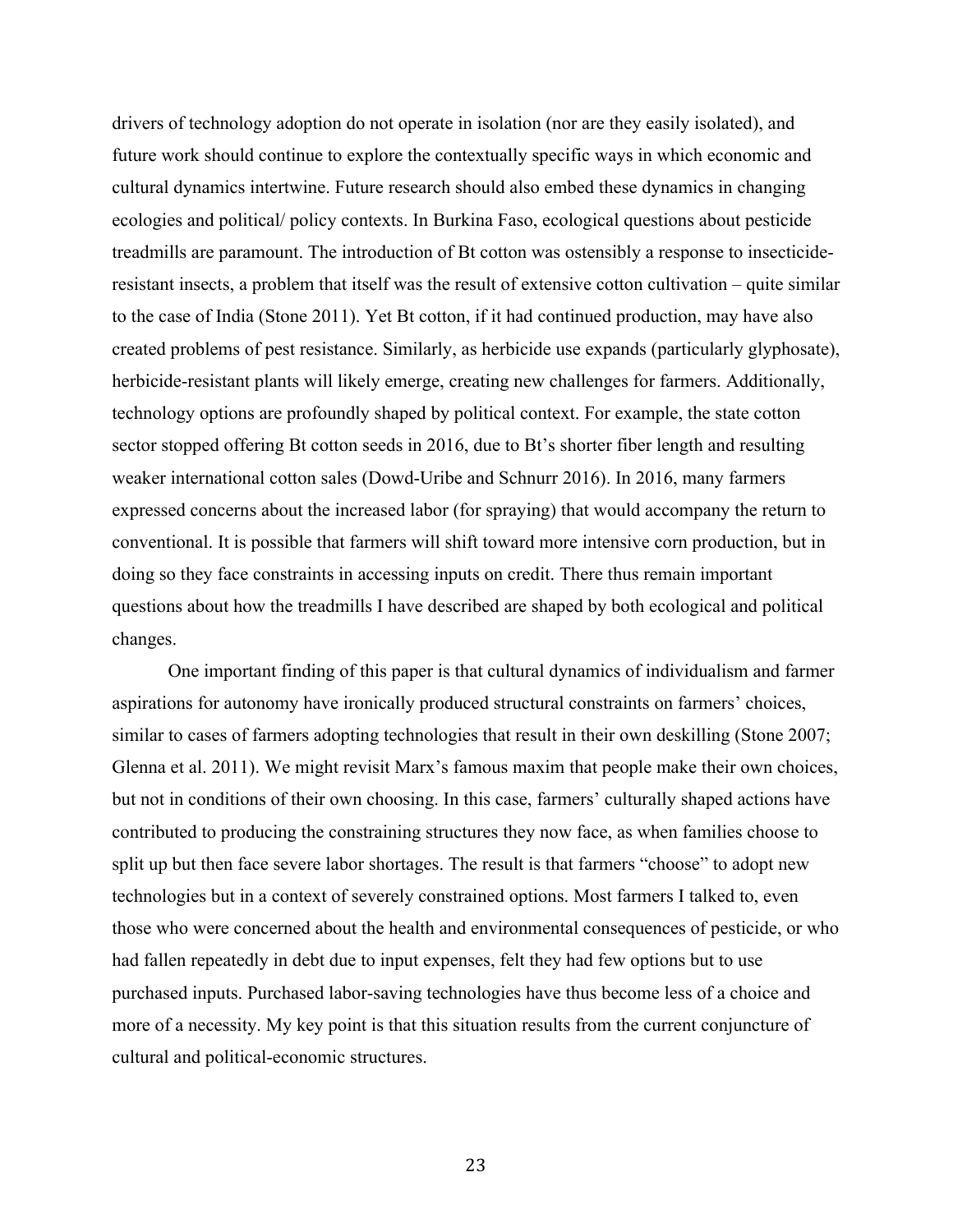drivers of technology adoption do not operate in isolation (nor are they easily isolated), and future work should continue to explore the contextually specific ways in which economic and cultural dynamics intertwine. Future research should also embed these dynamics in changing ecologies and political/ policy contexts. In Burkina Faso, ecological questions about pesticide treadmills are paramount. The introduction of Bt cotton was ostensibly a response to insecticideresistant insects, a problem that itself was the result of extensive cotton cultivation – quite similar to the case of India (Stone 2011). Yet Bt cotton, if it had continued production, may have also created problems of pest resistance. Similarly, as herbicide use expands (particularly glyphosate), herbicide-resistant plants will likely emerge, creating new challenges for farmers. Additionally, technology options are profoundly shaped by political context. For example, the state cotton sector stopped offering Bt cotton seeds in 2016, due to Bt's shorter fiber length and resulting weaker international cotton sales (Dowd-Uribe and Schnurr 2016). In 2016, many farmers expressed concerns about the increased labor (for spraying) that would accompany the return to conventional. It is possible that farmers will shift toward more intensive corn production, but in doing so they face constraints in accessing inputs on credit. There thus remain important questions about how the treadmills I have described are shaped by both ecological and political changes.

One important finding of this paper is that cultural dynamics of individualism and farmer aspirations for autonomy have ironically produced structural constraints on farmers' choices, similar to cases of farmers adopting technologies that result in their own deskilling (Stone 2007; Glenna et al. 2011). We might revisit Marx's famous maxim that people make their own choices, but not in conditions of their own choosing. In this case, farmers' culturally shaped actions have contributed to producing the constraining structures they now face, as when families choose to split up but then face severe labor shortages. The result is that farmers "choose" to adopt new technologies but in a context of severely constrained options. Most farmers I talked to, even those who were concerned about the health and environmental consequences of pesticide, or who had fallen repeatedly in debt due to input expenses, felt they had few options but to use purchased inputs. Purchased labor-saving technologies have thus become less of a choice and more of a necessity. My key point is that this situation results from the current conjuncture of cultural and political-economic structures.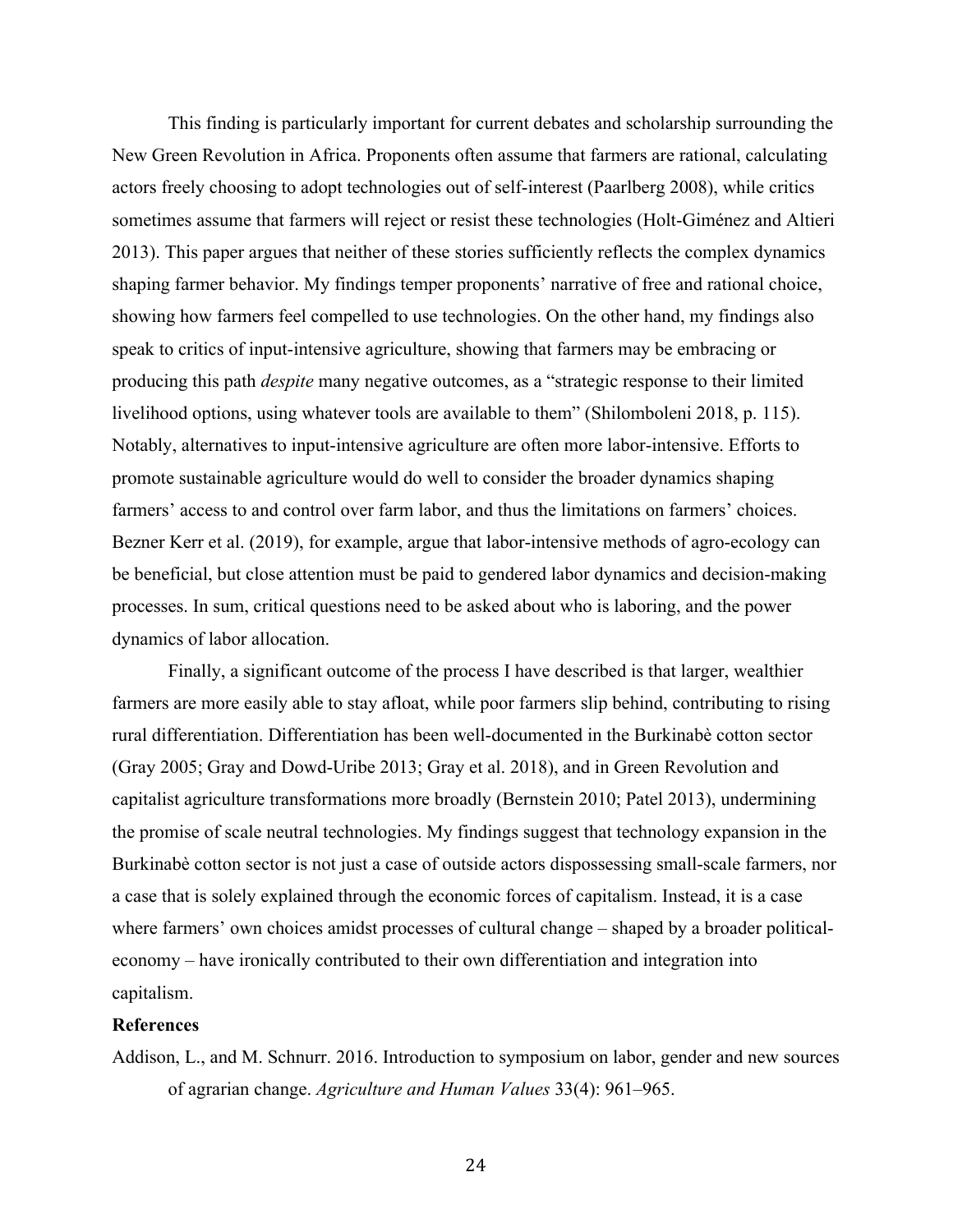This finding is particularly important for current debates and scholarship surrounding the New Green Revolution in Africa. Proponents often assume that farmers are rational, calculating actors freely choosing to adopt technologies out of self-interest (Paarlberg 2008), while critics sometimes assume that farmers will reject or resist these technologies (Holt-Giménez and Altieri 2013). This paper argues that neither of these stories sufficiently reflects the complex dynamics shaping farmer behavior. My findings temper proponents' narrative of free and rational choice, showing how farmers feel compelled to use technologies. On the other hand, my findings also speak to critics of input-intensive agriculture, showing that farmers may be embracing or producing this path *despite* many negative outcomes, as a "strategic response to their limited livelihood options, using whatever tools are available to them" (Shilomboleni 2018, p. 115). Notably, alternatives to input-intensive agriculture are often more labor-intensive. Efforts to promote sustainable agriculture would do well to consider the broader dynamics shaping farmers' access to and control over farm labor, and thus the limitations on farmers' choices. Bezner Kerr et al. (2019), for example, argue that labor-intensive methods of agro-ecology can be beneficial, but close attention must be paid to gendered labor dynamics and decision-making processes. In sum, critical questions need to be asked about who is laboring, and the power dynamics of labor allocation.

Finally, a significant outcome of the process I have described is that larger, wealthier farmers are more easily able to stay afloat, while poor farmers slip behind, contributing to rising rural differentiation. Differentiation has been well-documented in the Burkinabè cotton sector (Gray 2005; Gray and Dowd-Uribe 2013; Gray et al. 2018), and in Green Revolution and capitalist agriculture transformations more broadly (Bernstein 2010; Patel 2013), undermining the promise of scale neutral technologies. My findings suggest that technology expansion in the Burkinabè cotton sector is not just a case of outside actors dispossessing small-scale farmers, nor a case that is solely explained through the economic forces of capitalism. Instead, it is a case where farmers' own choices amidst processes of cultural change – shaped by a broader politicaleconomy – have ironically contributed to their own differentiation and integration into capitalism.

# **References**

Addison, L., and M. Schnurr. 2016. Introduction to symposium on labor, gender and new sources of agrarian change. *Agriculture and Human Values* 33(4): 961–965.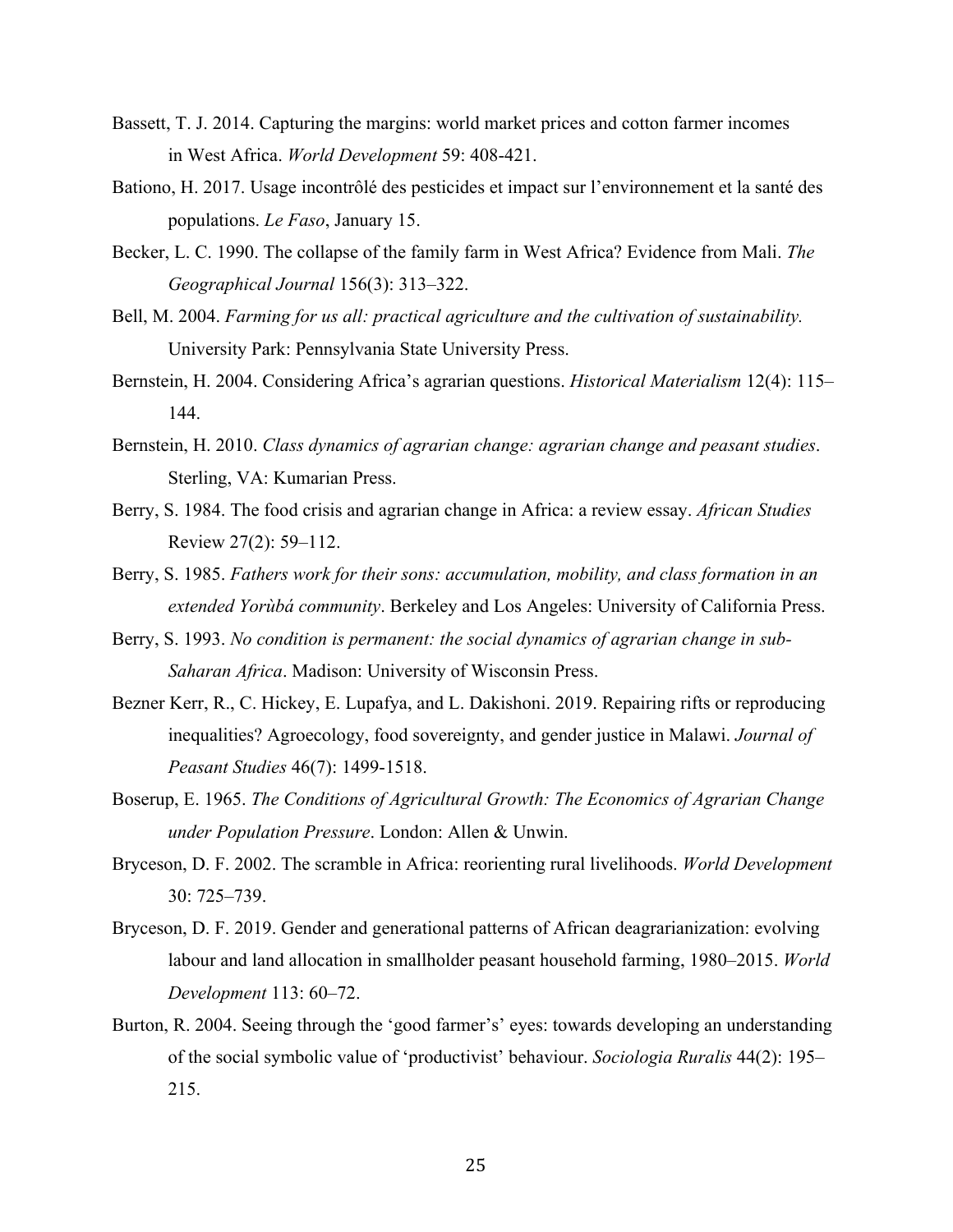- Bassett, T. J. 2014. Capturing the margins: world market prices and cotton farmer incomes in West Africa. *World Development* 59: 408-421.
- Bationo, H. 2017. Usage incontrôlé des pesticides et impact sur l'environnement et la santé des populations. *Le Faso*, January 15.
- Becker, L. C. 1990. The collapse of the family farm in West Africa? Evidence from Mali. *The Geographical Journal* 156(3): 313–322.
- Bell, M. 2004. *Farming for us all: practical agriculture and the cultivation of sustainability.* University Park: Pennsylvania State University Press.
- Bernstein, H. 2004. Considering Africa's agrarian questions. *Historical Materialism* 12(4): 115– 144.
- Bernstein, H. 2010. *Class dynamics of agrarian change: agrarian change and peasant studies*. Sterling, VA: Kumarian Press.
- Berry, S. 1984. The food crisis and agrarian change in Africa: a review essay. *African Studies* Review 27(2): 59–112.
- Berry, S. 1985. *Fathers work for their sons: accumulation, mobility, and class formation in an extended Yorùbá community*. Berkeley and Los Angeles: University of California Press.
- Berry, S. 1993. *No condition is permanent: the social dynamics of agrarian change in sub-Saharan Africa*. Madison: University of Wisconsin Press.
- Bezner Kerr, R., C. Hickey, E. Lupafya, and L. Dakishoni. 2019. Repairing rifts or reproducing inequalities? Agroecology, food sovereignty, and gender justice in Malawi. *Journal of Peasant Studies* 46(7): 1499-1518.
- Boserup, E. 1965. *The Conditions of Agricultural Growth: The Economics of Agrarian Change under Population Pressure*. London: Allen & Unwin.
- Bryceson, D. F. 2002. The scramble in Africa: reorienting rural livelihoods. *World Development* 30: 725–739.
- Bryceson, D. F. 2019. Gender and generational patterns of African deagrarianization: evolving labour and land allocation in smallholder peasant household farming, 1980–2015. *World Development* 113: 60–72.
- Burton, R. 2004. Seeing through the 'good farmer's' eyes: towards developing an understanding of the social symbolic value of 'productivist' behaviour. *Sociologia Ruralis* 44(2): 195– 215.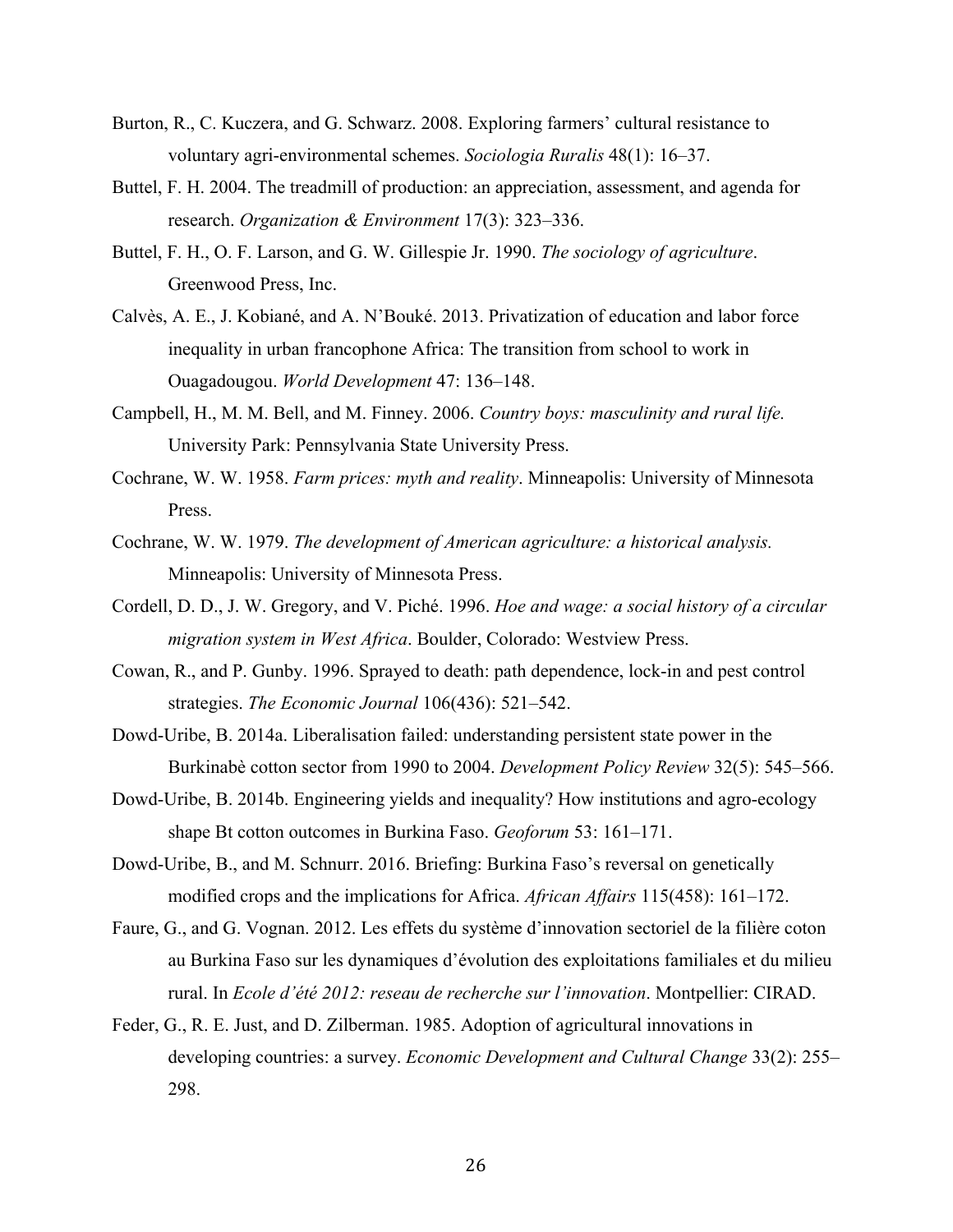- Burton, R., C. Kuczera, and G. Schwarz. 2008. Exploring farmers' cultural resistance to voluntary agri-environmental schemes. *Sociologia Ruralis* 48(1): 16–37.
- Buttel, F. H. 2004. The treadmill of production: an appreciation, assessment, and agenda for research. *Organization & Environment* 17(3): 323–336.
- Buttel, F. H., O. F. Larson, and G. W. Gillespie Jr. 1990. *The sociology of agriculture*. Greenwood Press, Inc.
- Calvès, A. E., J. Kobiané, and A. N'Bouké. 2013. Privatization of education and labor force inequality in urban francophone Africa: The transition from school to work in Ouagadougou. *World Development* 47: 136–148.
- Campbell, H., M. M. Bell, and M. Finney. 2006. *Country boys: masculinity and rural life.* University Park: Pennsylvania State University Press.
- Cochrane, W. W. 1958. *Farm prices: myth and reality*. Minneapolis: University of Minnesota Press.
- Cochrane, W. W. 1979. *The development of American agriculture: a historical analysis.* Minneapolis: University of Minnesota Press.
- Cordell, D. D., J. W. Gregory, and V. Piché. 1996. *Hoe and wage: a social history of a circular migration system in West Africa*. Boulder, Colorado: Westview Press.
- Cowan, R., and P. Gunby. 1996. Sprayed to death: path dependence, lock-in and pest control strategies. *The Economic Journal* 106(436): 521–542.
- Dowd-Uribe, B. 2014a. Liberalisation failed: understanding persistent state power in the Burkinabè cotton sector from 1990 to 2004. *Development Policy Review* 32(5): 545–566.
- Dowd-Uribe, B. 2014b. Engineering yields and inequality? How institutions and agro-ecology shape Bt cotton outcomes in Burkina Faso. *Geoforum* 53: 161–171.
- Dowd-Uribe, B., and M. Schnurr. 2016. Briefing: Burkina Faso's reversal on genetically modified crops and the implications for Africa. *African Affairs* 115(458): 161–172.
- Faure, G., and G. Vognan. 2012. Les effets du système d'innovation sectoriel de la filière coton au Burkina Faso sur les dynamiques d'évolution des exploitations familiales et du milieu rural. In *Ecole d'été 2012: reseau de recherche sur l'innovation*. Montpellier: CIRAD.
- Feder, G., R. E. Just, and D. Zilberman. 1985. Adoption of agricultural innovations in developing countries: a survey. *Economic Development and Cultural Change* 33(2): 255– 298.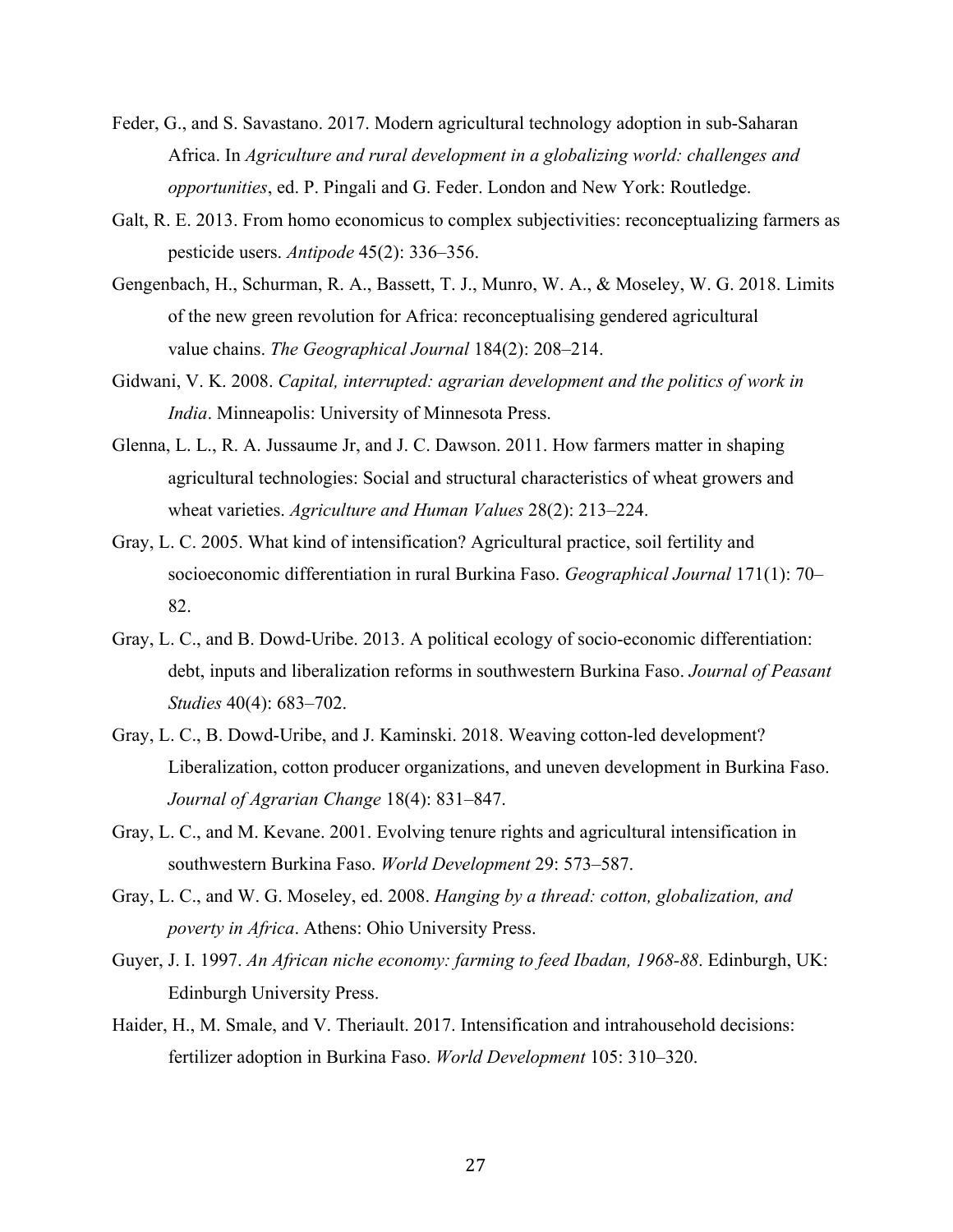- Feder, G., and S. Savastano. 2017. Modern agricultural technology adoption in sub-Saharan Africa. In *Agriculture and rural development in a globalizing world: challenges and opportunities*, ed. P. Pingali and G. Feder. London and New York: Routledge.
- Galt, R. E. 2013. From homo economicus to complex subjectivities: reconceptualizing farmers as pesticide users. *Antipode* 45(2): 336–356.
- Gengenbach, H., Schurman, R. A., Bassett, T. J., Munro, W. A., & Moseley, W. G. 2018. Limits of the new green revolution for Africa: reconceptualising gendered agricultural value chains. *The Geographical Journal* 184(2): 208–214.
- Gidwani, V. K. 2008. *Capital, interrupted: agrarian development and the politics of work in India*. Minneapolis: University of Minnesota Press.
- Glenna, L. L., R. A. Jussaume Jr, and J. C. Dawson. 2011. How farmers matter in shaping agricultural technologies: Social and structural characteristics of wheat growers and wheat varieties. *Agriculture and Human Values* 28(2): 213–224.
- Gray, L. C. 2005. What kind of intensification? Agricultural practice, soil fertility and socioeconomic differentiation in rural Burkina Faso. *Geographical Journal* 171(1): 70– 82.
- Gray, L. C., and B. Dowd-Uribe. 2013. A political ecology of socio-economic differentiation: debt, inputs and liberalization reforms in southwestern Burkina Faso. *Journal of Peasant Studies* 40(4): 683–702.
- Gray, L. C., B. Dowd-Uribe, and J. Kaminski. 2018. Weaving cotton-led development? Liberalization, cotton producer organizations, and uneven development in Burkina Faso. *Journal of Agrarian Change* 18(4): 831–847.
- Gray, L. C., and M. Kevane. 2001. Evolving tenure rights and agricultural intensification in southwestern Burkina Faso. *World Development* 29: 573–587.
- Gray, L. C., and W. G. Moseley, ed. 2008. *Hanging by a thread: cotton, globalization, and poverty in Africa*. Athens: Ohio University Press.
- Guyer, J. I. 1997. *An African niche economy: farming to feed Ibadan, 1968-88*. Edinburgh, UK: Edinburgh University Press.
- Haider, H., M. Smale, and V. Theriault. 2017. Intensification and intrahousehold decisions: fertilizer adoption in Burkina Faso. *World Development* 105: 310–320.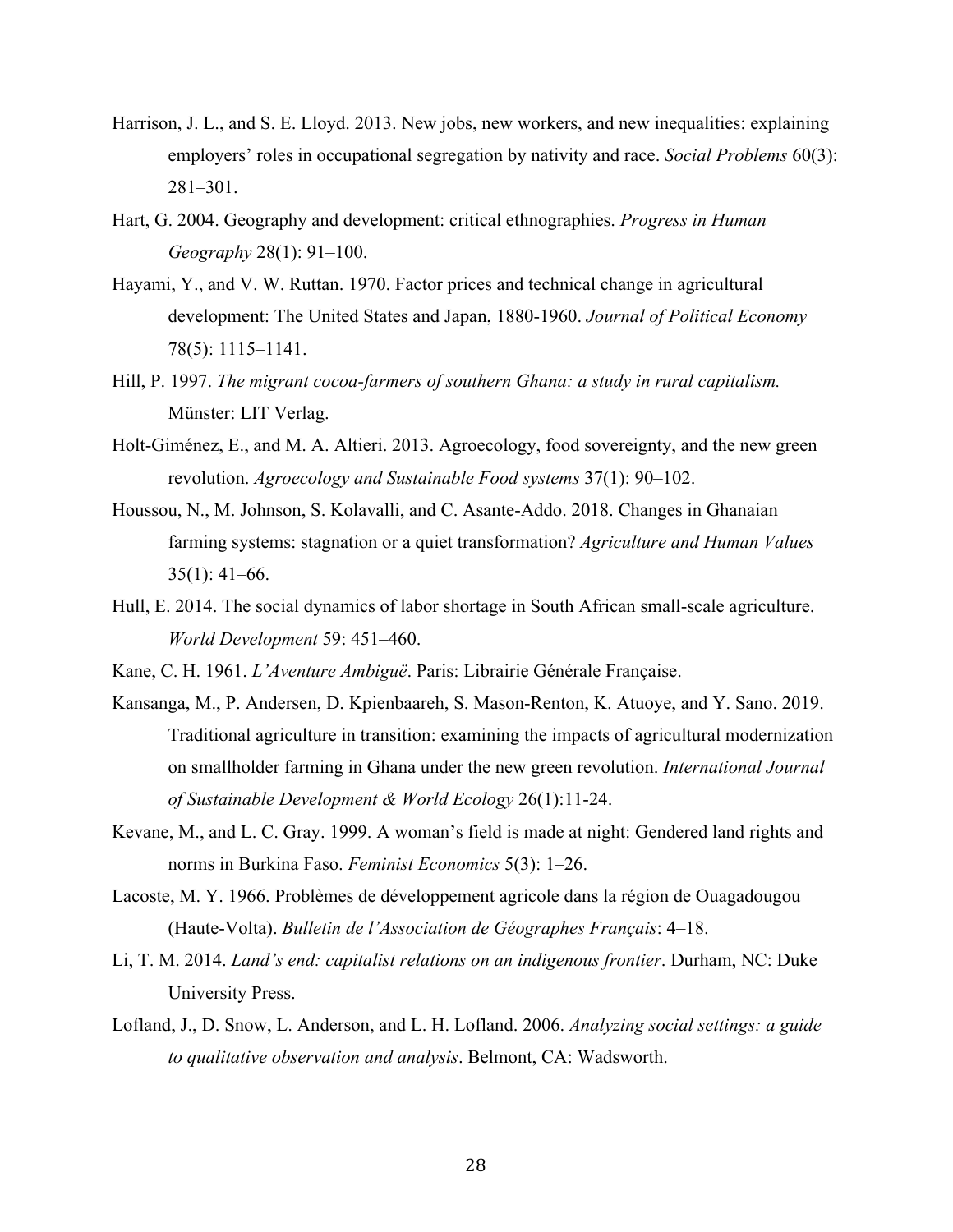- Harrison, J. L., and S. E. Lloyd. 2013. New jobs, new workers, and new inequalities: explaining employers' roles in occupational segregation by nativity and race. *Social Problems* 60(3): 281–301.
- Hart, G. 2004. Geography and development: critical ethnographies. *Progress in Human Geography* 28(1): 91–100.
- Hayami, Y., and V. W. Ruttan. 1970. Factor prices and technical change in agricultural development: The United States and Japan, 1880-1960. *Journal of Political Economy* 78(5): 1115–1141.
- Hill, P. 1997. *The migrant cocoa-farmers of southern Ghana: a study in rural capitalism.*  Münster: LIT Verlag.
- Holt-Giménez, E., and M. A. Altieri. 2013. Agroecology, food sovereignty, and the new green revolution. *Agroecology and Sustainable Food systems* 37(1): 90–102.
- Houssou, N., M. Johnson, S. Kolavalli, and C. Asante-Addo. 2018. Changes in Ghanaian farming systems: stagnation or a quiet transformation? *Agriculture and Human Values*  $35(1): 41-66.$
- Hull, E. 2014. The social dynamics of labor shortage in South African small-scale agriculture. *World Development* 59: 451–460.
- Kane, C. H. 1961. *L'Aventure Ambiguë*. Paris: Librairie Générale Française.
- Kansanga, M., P. Andersen, D. Kpienbaareh, S. Mason-Renton, K. Atuoye, and Y. Sano. 2019. Traditional agriculture in transition: examining the impacts of agricultural modernization on smallholder farming in Ghana under the new green revolution. *International Journal of Sustainable Development & World Ecology* 26(1):11-24.
- Kevane, M., and L. C. Gray. 1999. A woman's field is made at night: Gendered land rights and norms in Burkina Faso. *Feminist Economics* 5(3): 1–26.
- Lacoste, M. Y. 1966. Problèmes de développement agricole dans la région de Ouagadougou (Haute-Volta). *Bulletin de l'Association de Géographes Français*: 4–18.
- Li, T. M. 2014. *Land's end: capitalist relations on an indigenous frontier*. Durham, NC: Duke University Press.
- Lofland, J., D. Snow, L. Anderson, and L. H. Lofland. 2006. *Analyzing social settings: a guide to qualitative observation and analysis*. Belmont, CA: Wadsworth.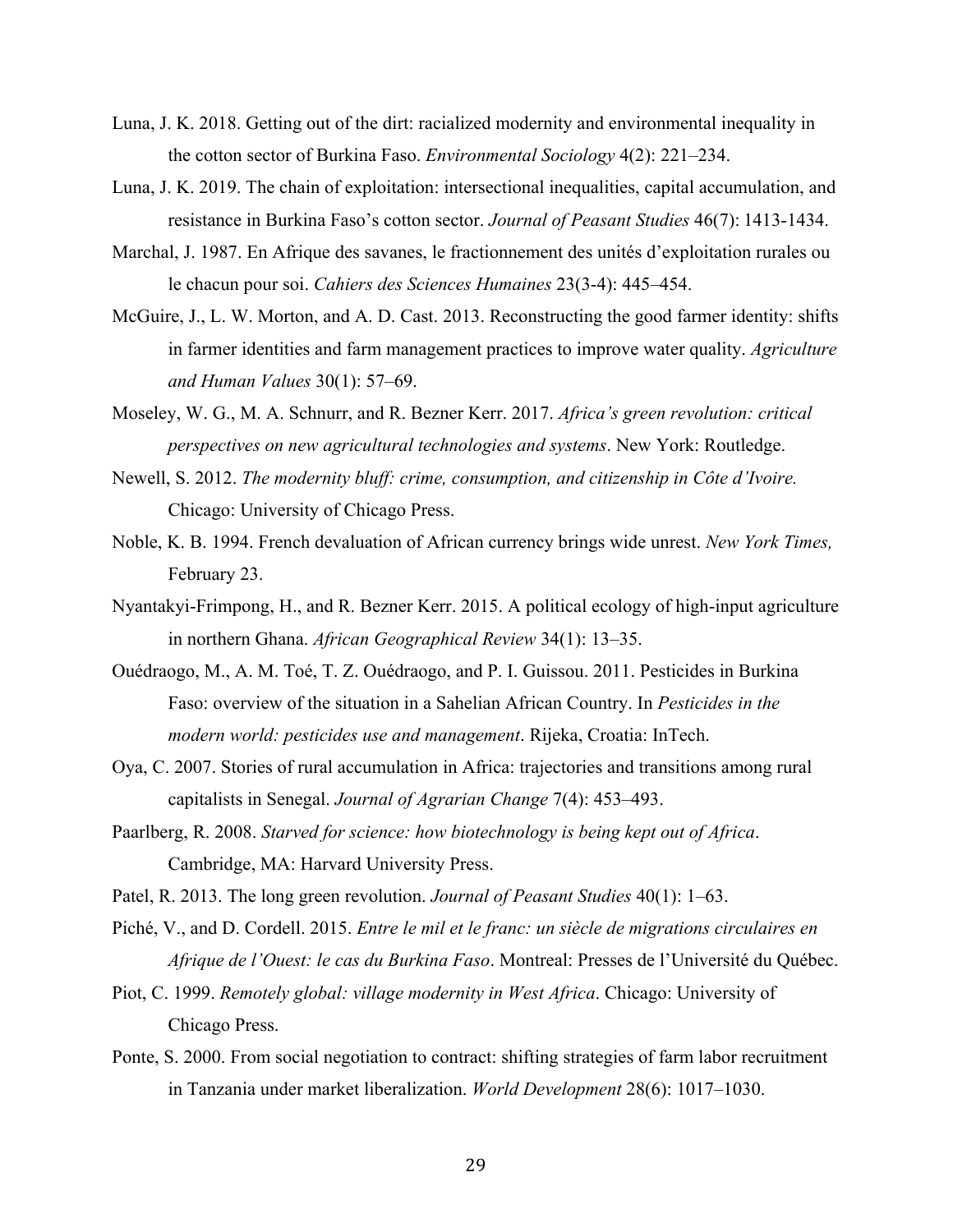- Luna, J. K. 2018. Getting out of the dirt: racialized modernity and environmental inequality in the cotton sector of Burkina Faso. *Environmental Sociology* 4(2): 221–234.
- Luna, J. K. 2019. The chain of exploitation: intersectional inequalities, capital accumulation, and resistance in Burkina Faso's cotton sector. *Journal of Peasant Studies* 46(7): 1413-1434.
- Marchal, J. 1987. En Afrique des savanes, le fractionnement des unités d'exploitation rurales ou le chacun pour soi. *Cahiers des Sciences Humaines* 23(3-4): 445–454.
- McGuire, J., L. W. Morton, and A. D. Cast. 2013. Reconstructing the good farmer identity: shifts in farmer identities and farm management practices to improve water quality. *Agriculture and Human Values* 30(1): 57–69.
- Moseley, W. G., M. A. Schnurr, and R. Bezner Kerr. 2017. *Africa's green revolution: critical perspectives on new agricultural technologies and systems*. New York: Routledge.
- Newell, S. 2012. *The modernity bluff: crime, consumption, and citizenship in Côte d'Ivoire.* Chicago: University of Chicago Press.
- Noble, K. B. 1994. French devaluation of African currency brings wide unrest. *New York Times,* February 23.
- Nyantakyi-Frimpong, H., and R. Bezner Kerr. 2015. A political ecology of high-input agriculture in northern Ghana. *African Geographical Review* 34(1): 13–35.
- Ouédraogo, M., A. M. Toé, T. Z. Ouédraogo, and P. I. Guissou. 2011. Pesticides in Burkina Faso: overview of the situation in a Sahelian African Country. In *Pesticides in the modern world: pesticides use and management*. Rijeka, Croatia: InTech.
- Oya, C. 2007. Stories of rural accumulation in Africa: trajectories and transitions among rural capitalists in Senegal. *Journal of Agrarian Change* 7(4): 453–493.
- Paarlberg, R. 2008. *Starved for science: how biotechnology is being kept out of Africa*. Cambridge, MA: Harvard University Press.
- Patel, R. 2013. The long green revolution. *Journal of Peasant Studies* 40(1): 1–63.
- Piché, V., and D. Cordell. 2015. *Entre le mil et le franc: un siècle de migrations circulaires en Afrique de l'Ouest: le cas du Burkina Faso*. Montreal: Presses de l'Université du Québec.
- Piot, C. 1999. *Remotely global: village modernity in West Africa*. Chicago: University of Chicago Press.
- Ponte, S. 2000. From social negotiation to contract: shifting strategies of farm labor recruitment in Tanzania under market liberalization. *World Development* 28(6): 1017–1030.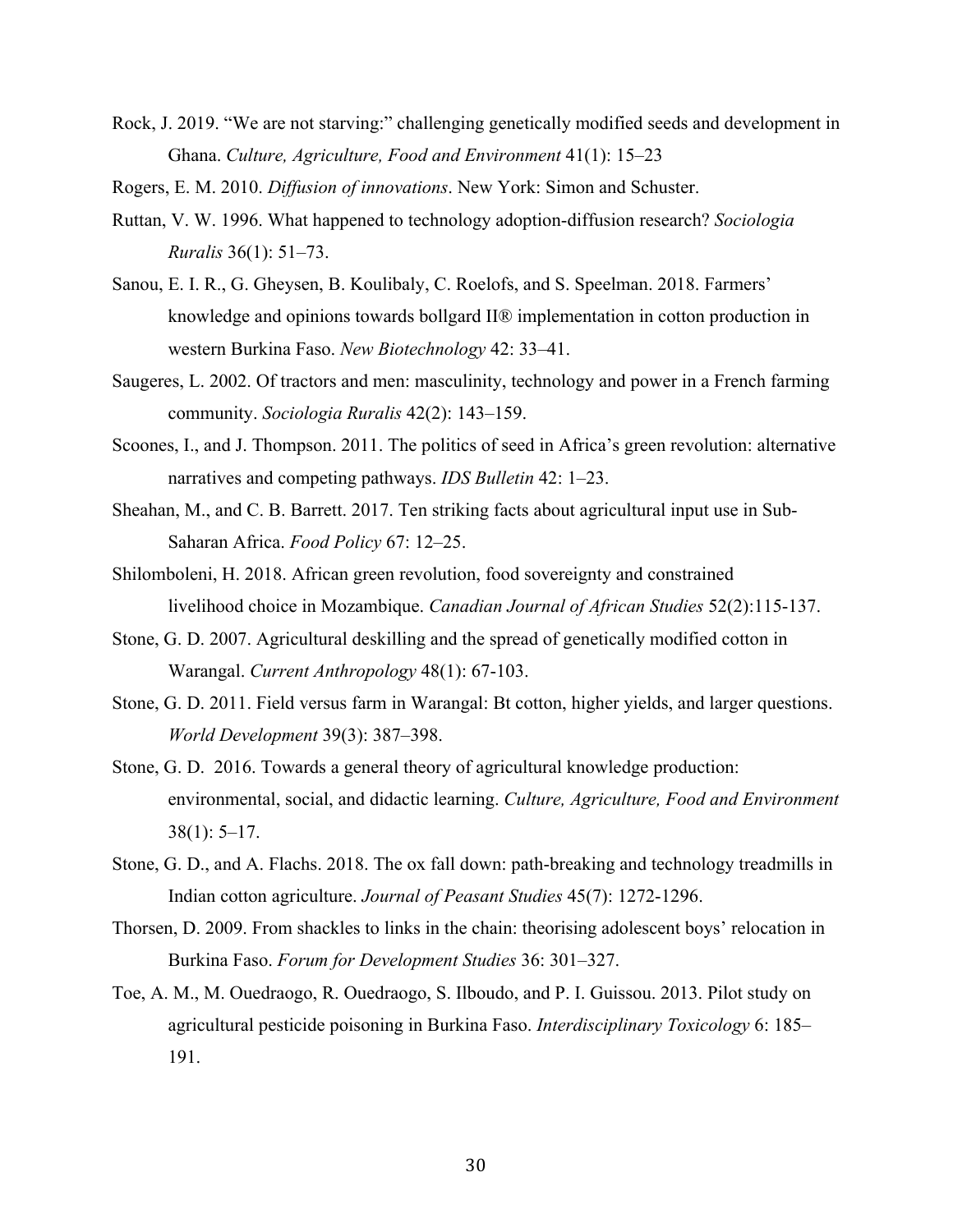- Rock, J. 2019. "We are not starving:" challenging genetically modified seeds and development in Ghana. *Culture, Agriculture, Food and Environment* 41(1): 15–23
- Rogers, E. M. 2010. *Diffusion of innovations*. New York: Simon and Schuster.
- Ruttan, V. W. 1996. What happened to technology adoption-diffusion research? *Sociologia Ruralis* 36(1): 51–73.
- Sanou, E. I. R., G. Gheysen, B. Koulibaly, C. Roelofs, and S. Speelman. 2018. Farmers' knowledge and opinions towards bollgard II® implementation in cotton production in western Burkina Faso. *New Biotechnology* 42: 33–41.
- Saugeres, L. 2002. Of tractors and men: masculinity, technology and power in a French farming community. *Sociologia Ruralis* 42(2): 143–159.
- Scoones, I., and J. Thompson. 2011. The politics of seed in Africa's green revolution: alternative narratives and competing pathways. *IDS Bulletin* 42: 1–23.
- Sheahan, M., and C. B. Barrett. 2017. Ten striking facts about agricultural input use in Sub-Saharan Africa. *Food Policy* 67: 12–25.
- Shilomboleni, H. 2018. African green revolution, food sovereignty and constrained livelihood choice in Mozambique. *Canadian Journal of African Studies* 52(2):115-137.
- Stone, G. D. 2007. Agricultural deskilling and the spread of genetically modified cotton in Warangal. *Current Anthropology* 48(1): 67-103.
- Stone, G. D. 2011. Field versus farm in Warangal: Bt cotton, higher yields, and larger questions. *World Development* 39(3): 387–398.
- Stone, G. D. 2016. Towards a general theory of agricultural knowledge production: environmental, social, and didactic learning. *Culture, Agriculture, Food and Environment*  $38(1): 5-17.$
- Stone, G. D., and A. Flachs. 2018. The ox fall down: path-breaking and technology treadmills in Indian cotton agriculture. *Journal of Peasant Studies* 45(7): 1272-1296.
- Thorsen, D. 2009. From shackles to links in the chain: theorising adolescent boys' relocation in Burkina Faso. *Forum for Development Studies* 36: 301–327.
- Toe, A. M., M. Ouedraogo, R. Ouedraogo, S. Ilboudo, and P. I. Guissou. 2013. Pilot study on agricultural pesticide poisoning in Burkina Faso. *Interdisciplinary Toxicology* 6: 185– 191.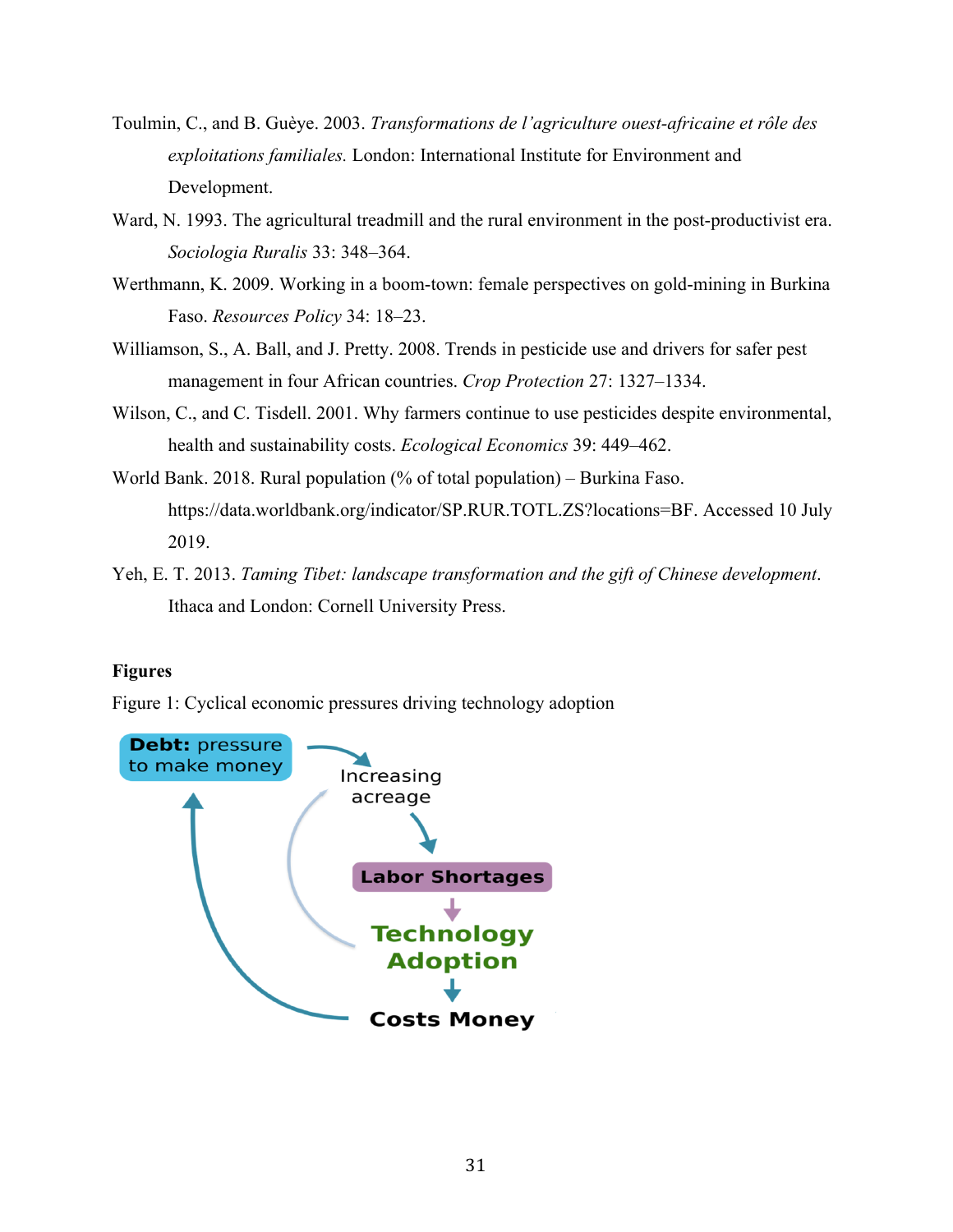- Toulmin, C., and B. Guèye. 2003. *Transformations de l'agriculture ouest-africaine et rôle des exploitations familiales.* London: International Institute for Environment and Development.
- Ward, N. 1993. The agricultural treadmill and the rural environment in the post-productivist era. *Sociologia Ruralis* 33: 348–364.
- Werthmann, K. 2009. Working in a boom-town: female perspectives on gold-mining in Burkina Faso. *Resources Policy* 34: 18–23.
- Williamson, S., A. Ball, and J. Pretty. 2008. Trends in pesticide use and drivers for safer pest management in four African countries. *Crop Protection* 27: 1327–1334.
- Wilson, C., and C. Tisdell. 2001. Why farmers continue to use pesticides despite environmental, health and sustainability costs. *Ecological Economics* 39: 449–462.
- World Bank. 2018. Rural population (% of total population) Burkina Faso. https://data.worldbank.org/indicator/SP.RUR.TOTL.ZS?locations=BF. Accessed 10 July 2019.
- Yeh, E. T. 2013. *Taming Tibet: landscape transformation and the gift of Chinese development*. Ithaca and London: Cornell University Press.

# **Figures**

Figure 1: Cyclical economic pressures driving technology adoption